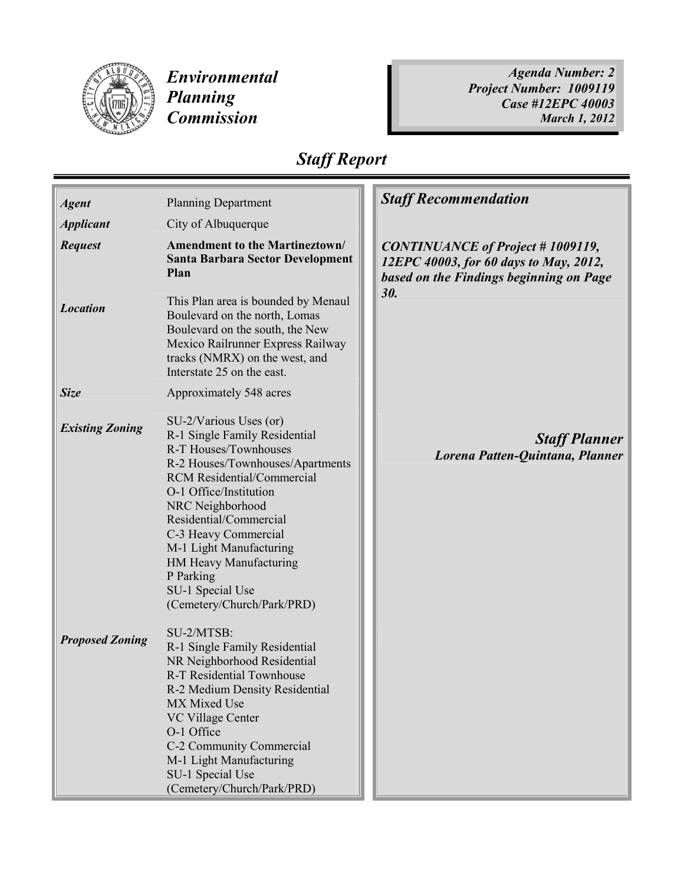

Environmental Planning **Commission** 

Agenda Number: 2 Project Number: 1009119 Case #12EPC 40003 March 1, 2012

## Staff Report

| <b>Agent</b>           | <b>Planning Department</b>                                                                                                                                                                                                                                                                                                                                                    | <b>Staff Recommendation</b>                                                                                                  |
|------------------------|-------------------------------------------------------------------------------------------------------------------------------------------------------------------------------------------------------------------------------------------------------------------------------------------------------------------------------------------------------------------------------|------------------------------------------------------------------------------------------------------------------------------|
| <b>Applicant</b>       | City of Albuquerque                                                                                                                                                                                                                                                                                                                                                           |                                                                                                                              |
| <b>Request</b>         | <b>Amendment to the Martineztown/</b><br><b>Santa Barbara Sector Development</b><br>Plan                                                                                                                                                                                                                                                                                      | <b>CONTINUANCE</b> of Project #1009119,<br>12EPC 40003, for 60 days to May, 2012,<br>based on the Findings beginning on Page |
| <b>Location</b>        | This Plan area is bounded by Menaul<br>Boulevard on the north, Lomas<br>Boulevard on the south, the New<br>Mexico Railrunner Express Railway<br>tracks (NMRX) on the west, and<br>Interstate 25 on the east.                                                                                                                                                                  | 30.                                                                                                                          |
| <b>Size</b>            | Approximately 548 acres                                                                                                                                                                                                                                                                                                                                                       |                                                                                                                              |
| <b>Existing Zoning</b> | SU-2/Various Uses (or)<br>R-1 Single Family Residential<br>R-T Houses/Townhouses<br>R-2 Houses/Townhouses/Apartments<br><b>RCM</b> Residential/Commercial<br>O-1 Office/Institution<br>NRC Neighborhood<br>Residential/Commercial<br>C-3 Heavy Commercial<br>M-1 Light Manufacturing<br>HM Heavy Manufacturing<br>P Parking<br>SU-1 Special Use<br>(Cemetery/Church/Park/PRD) | <b>Staff Planner</b><br>Lorena Patten-Quintana, Planner                                                                      |
| <b>Proposed Zoning</b> | SU-2/MTSB:<br>R-1 Single Family Residential<br>NR Neighborhood Residential<br><b>R-T Residential Townhouse</b><br>R-2 Medium Density Residential<br>MX Mixed Use<br><b>VC Village Center</b><br>O-1 Office<br>C-2 Community Commercial<br>M-1 Light Manufacturing<br>SU-1 Special Use<br>(Cemetery/Church/Park/PRD)                                                           |                                                                                                                              |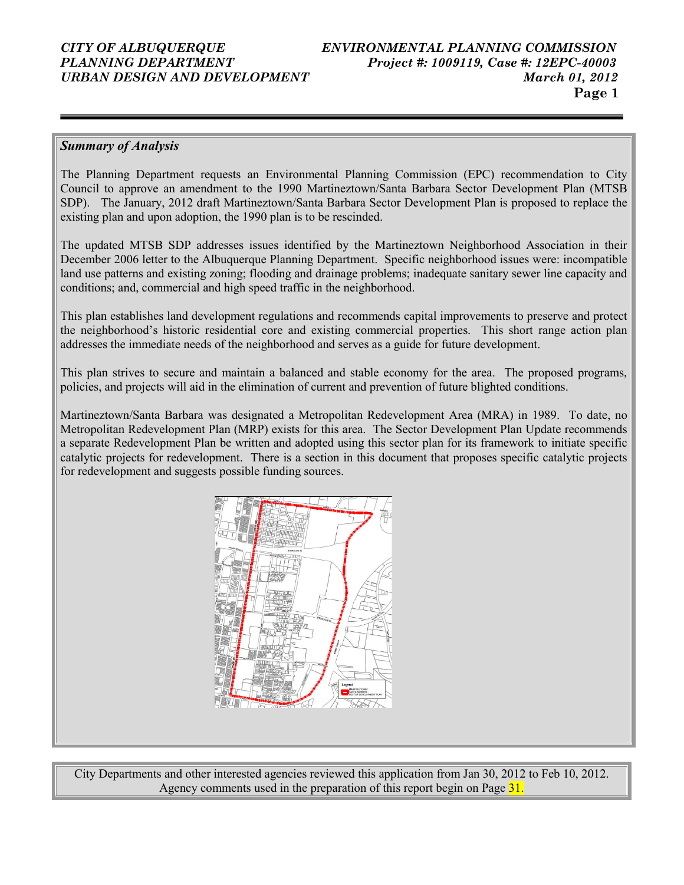#### Summary of Analysis

The Planning Department requests an Environmental Planning Commission (EPC) recommendation to City Council to approve an amendment to the 1990 Martineztown/Santa Barbara Sector Development Plan (MTSB SDP). The January, 2012 draft Martineztown/Santa Barbara Sector Development Plan is proposed to replace the existing plan and upon adoption, the 1990 plan is to be rescinded.

The updated MTSB SDP addresses issues identified by the Martineztown Neighborhood Association in their December 2006 letter to the Albuquerque Planning Department. Specific neighborhood issues were: incompatible land use patterns and existing zoning; flooding and drainage problems; inadequate sanitary sewer line capacity and conditions; and, commercial and high speed traffic in the neighborhood.

This plan establishes land development regulations and recommends capital improvements to preserve and protect the neighborhood's historic residential core and existing commercial properties. This short range action plan addresses the immediate needs of the neighborhood and serves as a guide for future development.

This plan strives to secure and maintain a balanced and stable economy for the area. The proposed programs, policies, and projects will aid in the elimination of current and prevention of future blighted conditions.

Martineztown/Santa Barbara was designated a Metropolitan Redevelopment Area (MRA) in 1989. To date, no Metropolitan Redevelopment Plan (MRP) exists for this area. The Sector Development Plan Update recommends a separate Redevelopment Plan be written and adopted using this sector plan for its framework to initiate specific catalytic projects for redevelopment. There is a section in this document that proposes specific catalytic projects for redevelopment and suggests possible funding sources.



City Departments and other interested agencies reviewed this application from Jan 30, 2012 to Feb 10, 2012. Agency comments used in the preparation of this report begin on Page 31.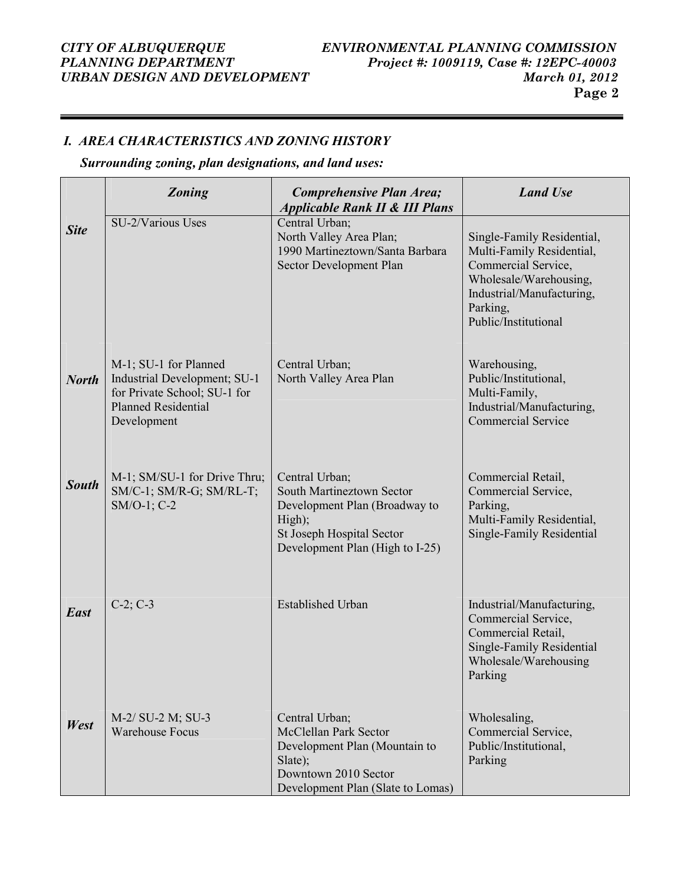# URBAN DESIGN AND DEVELOPMENT

#### I. AREA CHARACTERISTICS AND ZONING HISTORY

### Surrounding zoning, plan designations, and land uses:

|              | <b>Zoning</b>                                                                                                                      | Comprehensive Plan Area;<br><b>Applicable Rank II &amp; III Plans</b>                                                                                  | <b>Land Use</b>                                                                                                                                                           |
|--------------|------------------------------------------------------------------------------------------------------------------------------------|--------------------------------------------------------------------------------------------------------------------------------------------------------|---------------------------------------------------------------------------------------------------------------------------------------------------------------------------|
| <b>Site</b>  | SU-2/Various Uses                                                                                                                  | Central Urban;<br>North Valley Area Plan;<br>1990 Martineztown/Santa Barbara<br>Sector Development Plan                                                | Single-Family Residential,<br>Multi-Family Residential,<br>Commercial Service,<br>Wholesale/Warehousing,<br>Industrial/Manufacturing,<br>Parking,<br>Public/Institutional |
| <b>North</b> | M-1; SU-1 for Planned<br>Industrial Development; SU-1<br>for Private School; SU-1 for<br><b>Planned Residential</b><br>Development | Central Urban;<br>North Valley Area Plan                                                                                                               | Warehousing,<br>Public/Institutional,<br>Multi-Family,<br>Industrial/Manufacturing,<br><b>Commercial Service</b>                                                          |
| <b>South</b> | M-1; SM/SU-1 for Drive Thru;<br>SM/C-1; SM/R-G; SM/RL-T;<br>SM/O-1; C-2                                                            | Central Urban;<br>South Martineztown Sector<br>Development Plan (Broadway to<br>High);<br>St Joseph Hospital Sector<br>Development Plan (High to I-25) | Commercial Retail,<br>Commercial Service,<br>Parking,<br>Multi-Family Residential,<br>Single-Family Residential                                                           |
| <b>East</b>  | $C-2; C-3$                                                                                                                         | <b>Established Urban</b>                                                                                                                               | Industrial/Manufacturing,<br>Commercial Service,<br>Commercial Retail,<br><b>Single-Family Residential</b><br>Wholesale/Warehousing<br>Parking                            |
| West         | M-2/ SU-2 M; SU-3<br><b>Warehouse Focus</b>                                                                                        | Central Urban;<br>McClellan Park Sector<br>Development Plan (Mountain to<br>Slate);<br>Downtown 2010 Sector<br>Development Plan (Slate to Lomas)       | Wholesaling,<br>Commercial Service,<br>Public/Institutional,<br>Parking                                                                                                   |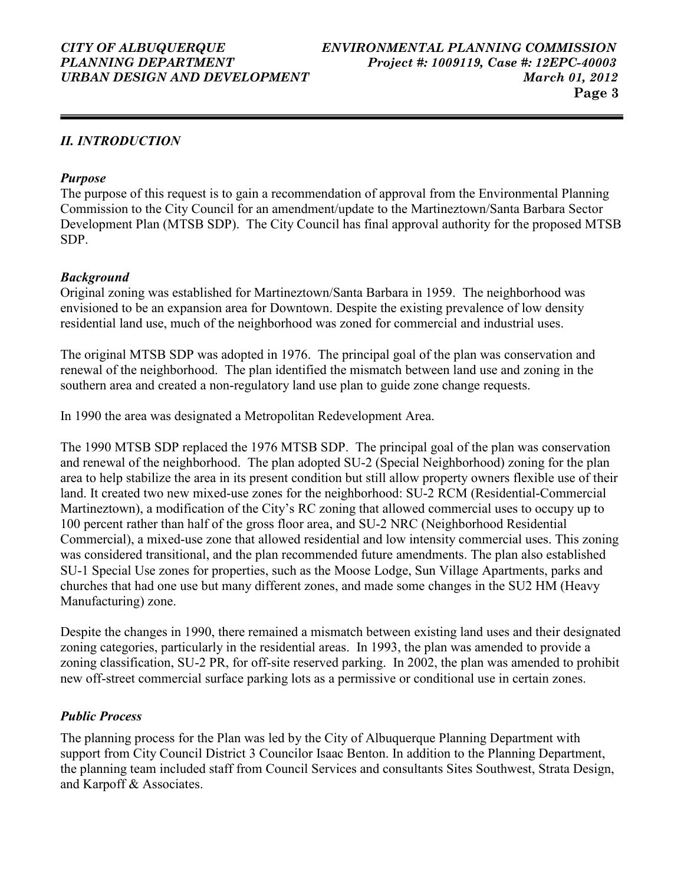### II. INTRODUCTION

#### Purpose

The purpose of this request is to gain a recommendation of approval from the Environmental Planning Commission to the City Council for an amendment/update to the Martineztown/Santa Barbara Sector Development Plan (MTSB SDP). The City Council has final approval authority for the proposed MTSB SDP.

#### Background

Original zoning was established for Martineztown/Santa Barbara in 1959. The neighborhood was envisioned to be an expansion area for Downtown. Despite the existing prevalence of low density residential land use, much of the neighborhood was zoned for commercial and industrial uses.

The original MTSB SDP was adopted in 1976. The principal goal of the plan was conservation and renewal of the neighborhood. The plan identified the mismatch between land use and zoning in the southern area and created a non-regulatory land use plan to guide zone change requests.

In 1990 the area was designated a Metropolitan Redevelopment Area.

The 1990 MTSB SDP replaced the 1976 MTSB SDP. The principal goal of the plan was conservation and renewal of the neighborhood. The plan adopted SU-2 (Special Neighborhood) zoning for the plan area to help stabilize the area in its present condition but still allow property owners flexible use of their land. It created two new mixed-use zones for the neighborhood: SU-2 RCM (Residential-Commercial Martineztown), a modification of the City's RC zoning that allowed commercial uses to occupy up to 100 percent rather than half of the gross floor area, and SU-2 NRC (Neighborhood Residential Commercial), a mixed-use zone that allowed residential and low intensity commercial uses. This zoning was considered transitional, and the plan recommended future amendments. The plan also established SU-1 Special Use zones for properties, such as the Moose Lodge, Sun Village Apartments, parks and churches that had one use but many different zones, and made some changes in the SU2 HM (Heavy Manufacturing) zone.

Despite the changes in 1990, there remained a mismatch between existing land uses and their designated zoning categories, particularly in the residential areas. In 1993, the plan was amended to provide a zoning classification, SU-2 PR, for off-site reserved parking. In 2002, the plan was amended to prohibit new off-street commercial surface parking lots as a permissive or conditional use in certain zones.

### Public Process

The planning process for the Plan was led by the City of Albuquerque Planning Department with support from City Council District 3 Councilor Isaac Benton. In addition to the Planning Department, the planning team included staff from Council Services and consultants Sites Southwest, Strata Design, and Karpoff & Associates.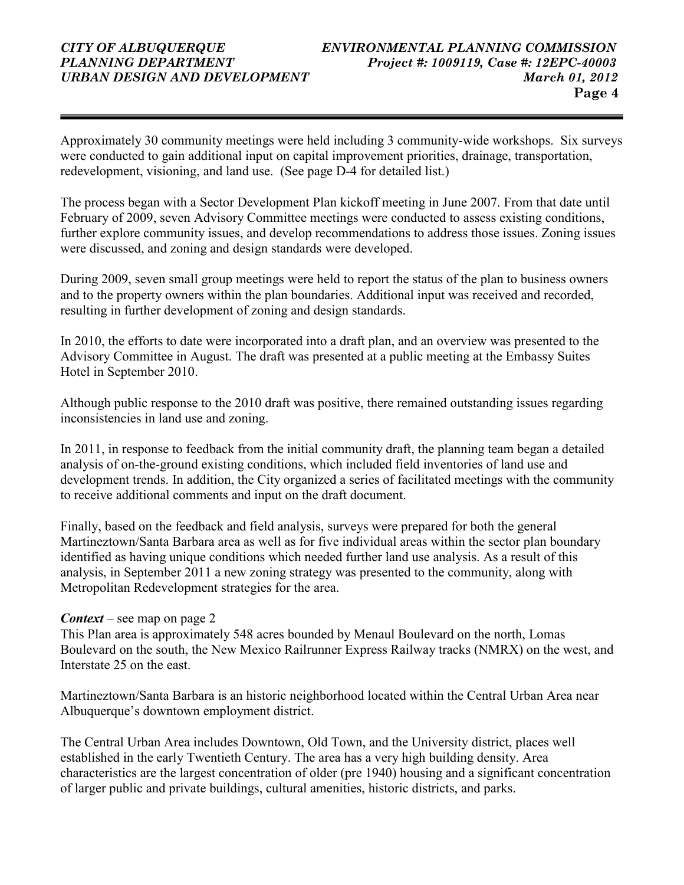Approximately 30 community meetings were held including 3 community-wide workshops. Six surveys were conducted to gain additional input on capital improvement priorities, drainage, transportation, redevelopment, visioning, and land use. (See page D-4 for detailed list.)

The process began with a Sector Development Plan kickoff meeting in June 2007. From that date until February of 2009, seven Advisory Committee meetings were conducted to assess existing conditions, further explore community issues, and develop recommendations to address those issues. Zoning issues were discussed, and zoning and design standards were developed.

During 2009, seven small group meetings were held to report the status of the plan to business owners and to the property owners within the plan boundaries. Additional input was received and recorded, resulting in further development of zoning and design standards.

In 2010, the efforts to date were incorporated into a draft plan, and an overview was presented to the Advisory Committee in August. The draft was presented at a public meeting at the Embassy Suites Hotel in September 2010.

Although public response to the 2010 draft was positive, there remained outstanding issues regarding inconsistencies in land use and zoning.

In 2011, in response to feedback from the initial community draft, the planning team began a detailed analysis of on-the-ground existing conditions, which included field inventories of land use and development trends. In addition, the City organized a series of facilitated meetings with the community to receive additional comments and input on the draft document.

Finally, based on the feedback and field analysis, surveys were prepared for both the general Martineztown/Santa Barbara area as well as for five individual areas within the sector plan boundary identified as having unique conditions which needed further land use analysis. As a result of this analysis, in September 2011 a new zoning strategy was presented to the community, along with Metropolitan Redevelopment strategies for the area.

#### **Context** – see map on page 2

This Plan area is approximately 548 acres bounded by Menaul Boulevard on the north, Lomas Boulevard on the south, the New Mexico Railrunner Express Railway tracks (NMRX) on the west, and Interstate 25 on the east.

Martineztown/Santa Barbara is an historic neighborhood located within the Central Urban Area near Albuquerque's downtown employment district.

The Central Urban Area includes Downtown, Old Town, and the University district, places well established in the early Twentieth Century. The area has a very high building density. Area characteristics are the largest concentration of older (pre 1940) housing and a significant concentration of larger public and private buildings, cultural amenities, historic districts, and parks.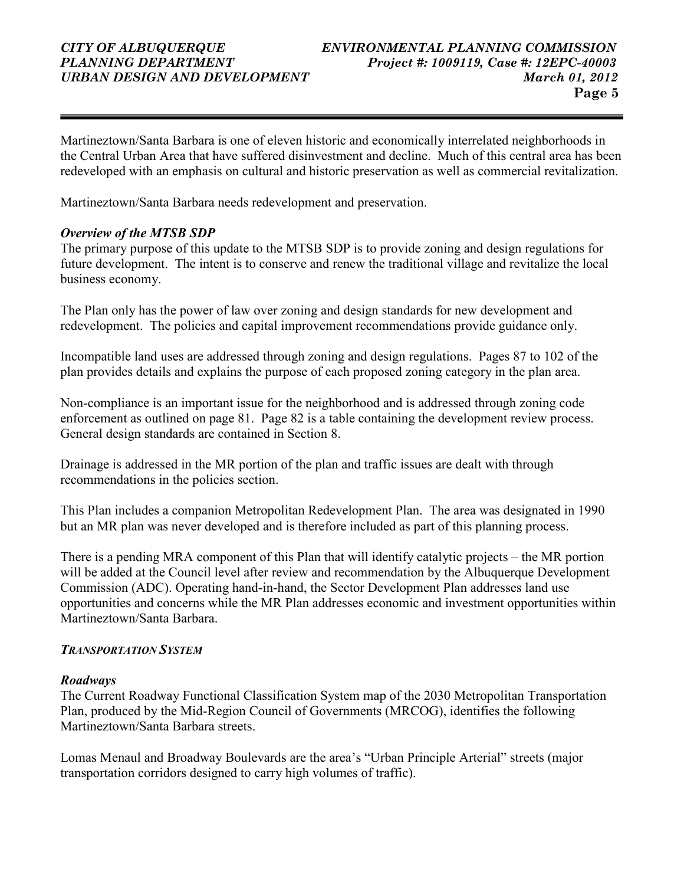Martineztown/Santa Barbara is one of eleven historic and economically interrelated neighborhoods in the Central Urban Area that have suffered disinvestment and decline. Much of this central area has been redeveloped with an emphasis on cultural and historic preservation as well as commercial revitalization.

Martineztown/Santa Barbara needs redevelopment and preservation.

#### Overview of the MTSB SDP

The primary purpose of this update to the MTSB SDP is to provide zoning and design regulations for future development. The intent is to conserve and renew the traditional village and revitalize the local business economy.

The Plan only has the power of law over zoning and design standards for new development and redevelopment. The policies and capital improvement recommendations provide guidance only.

Incompatible land uses are addressed through zoning and design regulations. Pages 87 to 102 of the plan provides details and explains the purpose of each proposed zoning category in the plan area.

Non-compliance is an important issue for the neighborhood and is addressed through zoning code enforcement as outlined on page 81. Page 82 is a table containing the development review process. General design standards are contained in Section 8.

Drainage is addressed in the MR portion of the plan and traffic issues are dealt with through recommendations in the policies section.

This Plan includes a companion Metropolitan Redevelopment Plan. The area was designated in 1990 but an MR plan was never developed and is therefore included as part of this planning process.

There is a pending MRA component of this Plan that will identify catalytic projects – the MR portion will be added at the Council level after review and recommendation by the Albuquerque Development Commission (ADC). Operating hand-in-hand, the Sector Development Plan addresses land use opportunities and concerns while the MR Plan addresses economic and investment opportunities within Martineztown/Santa Barbara.

#### TRANSPORTATION SYSTEM

#### Roadways

The Current Roadway Functional Classification System map of the 2030 Metropolitan Transportation Plan, produced by the Mid-Region Council of Governments (MRCOG), identifies the following Martineztown/Santa Barbara streets.

Lomas Menaul and Broadway Boulevards are the area's "Urban Principle Arterial" streets (major transportation corridors designed to carry high volumes of traffic).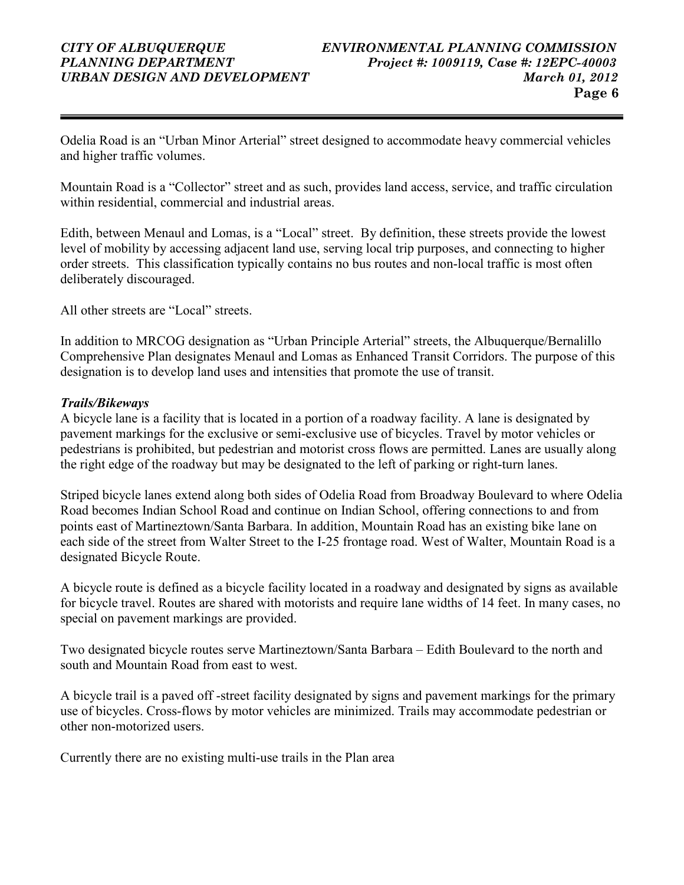Odelia Road is an "Urban Minor Arterial" street designed to accommodate heavy commercial vehicles and higher traffic volumes.

Mountain Road is a "Collector" street and as such, provides land access, service, and traffic circulation within residential, commercial and industrial areas.

Edith, between Menaul and Lomas, is a "Local" street. By definition, these streets provide the lowest level of mobility by accessing adjacent land use, serving local trip purposes, and connecting to higher order streets. This classification typically contains no bus routes and non-local traffic is most often deliberately discouraged.

All other streets are "Local" streets.

In addition to MRCOG designation as "Urban Principle Arterial" streets, the Albuquerque/Bernalillo Comprehensive Plan designates Menaul and Lomas as Enhanced Transit Corridors. The purpose of this designation is to develop land uses and intensities that promote the use of transit.

#### Trails/Bikeways

A bicycle lane is a facility that is located in a portion of a roadway facility. A lane is designated by pavement markings for the exclusive or semi-exclusive use of bicycles. Travel by motor vehicles or pedestrians is prohibited, but pedestrian and motorist cross flows are permitted. Lanes are usually along the right edge of the roadway but may be designated to the left of parking or right-turn lanes.

Striped bicycle lanes extend along both sides of Odelia Road from Broadway Boulevard to where Odelia Road becomes Indian School Road and continue on Indian School, offering connections to and from points east of Martineztown/Santa Barbara. In addition, Mountain Road has an existing bike lane on each side of the street from Walter Street to the I-25 frontage road. West of Walter, Mountain Road is a designated Bicycle Route.

A bicycle route is defined as a bicycle facility located in a roadway and designated by signs as available for bicycle travel. Routes are shared with motorists and require lane widths of 14 feet. In many cases, no special on pavement markings are provided.

Two designated bicycle routes serve Martineztown/Santa Barbara – Edith Boulevard to the north and south and Mountain Road from east to west.

A bicycle trail is a paved off -street facility designated by signs and pavement markings for the primary use of bicycles. Cross-flows by motor vehicles are minimized. Trails may accommodate pedestrian or other non-motorized users.

Currently there are no existing multi-use trails in the Plan area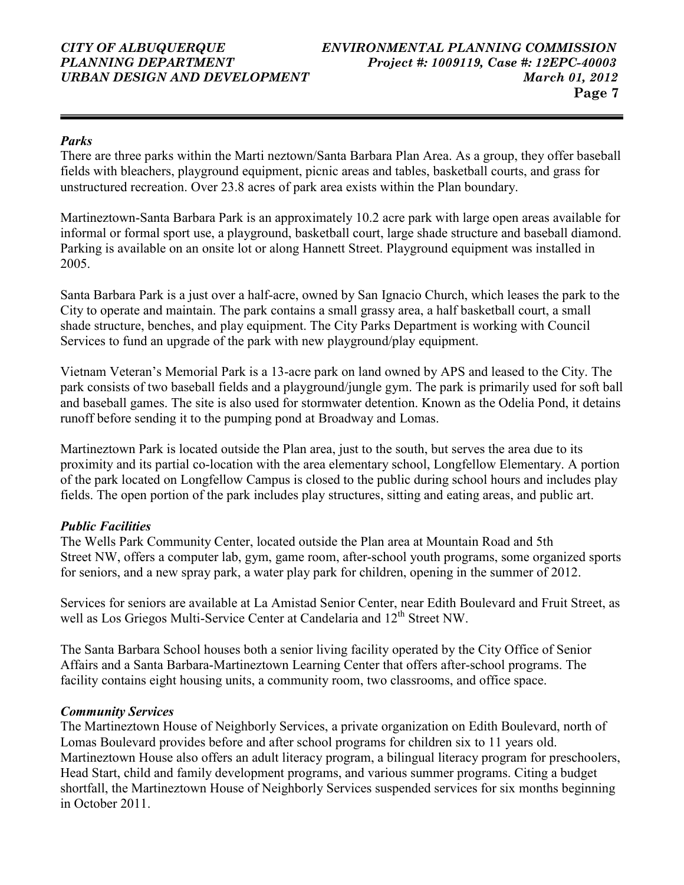### Parks

There are three parks within the Marti neztown/Santa Barbara Plan Area. As a group, they offer baseball fields with bleachers, playground equipment, picnic areas and tables, basketball courts, and grass for unstructured recreation. Over 23.8 acres of park area exists within the Plan boundary.

Martineztown-Santa Barbara Park is an approximately 10.2 acre park with large open areas available for informal or formal sport use, a playground, basketball court, large shade structure and baseball diamond. Parking is available on an onsite lot or along Hannett Street. Playground equipment was installed in 2005.

Santa Barbara Park is a just over a half-acre, owned by San Ignacio Church, which leases the park to the City to operate and maintain. The park contains a small grassy area, a half basketball court, a small shade structure, benches, and play equipment. The City Parks Department is working with Council Services to fund an upgrade of the park with new playground/play equipment.

Vietnam Veteran's Memorial Park is a 13-acre park on land owned by APS and leased to the City. The park consists of two baseball fields and a playground/jungle gym. The park is primarily used for soft ball and baseball games. The site is also used for stormwater detention. Known as the Odelia Pond, it detains runoff before sending it to the pumping pond at Broadway and Lomas.

Martineztown Park is located outside the Plan area, just to the south, but serves the area due to its proximity and its partial co-location with the area elementary school, Longfellow Elementary. A portion of the park located on Longfellow Campus is closed to the public during school hours and includes play fields. The open portion of the park includes play structures, sitting and eating areas, and public art.

### Public Facilities

The Wells Park Community Center, located outside the Plan area at Mountain Road and 5th Street NW, offers a computer lab, gym, game room, after-school youth programs, some organized sports for seniors, and a new spray park, a water play park for children, opening in the summer of 2012.

Services for seniors are available at La Amistad Senior Center, near Edith Boulevard and Fruit Street, as well as Los Griegos Multi-Service Center at Candelaria and 12<sup>th</sup> Street NW.

The Santa Barbara School houses both a senior living facility operated by the City Office of Senior Affairs and a Santa Barbara-Martineztown Learning Center that offers after-school programs. The facility contains eight housing units, a community room, two classrooms, and office space.

### Community Services

The Martineztown House of Neighborly Services, a private organization on Edith Boulevard, north of Lomas Boulevard provides before and after school programs for children six to 11 years old. Martineztown House also offers an adult literacy program, a bilingual literacy program for preschoolers, Head Start, child and family development programs, and various summer programs. Citing a budget shortfall, the Martineztown House of Neighborly Services suspended services for six months beginning in October 2011.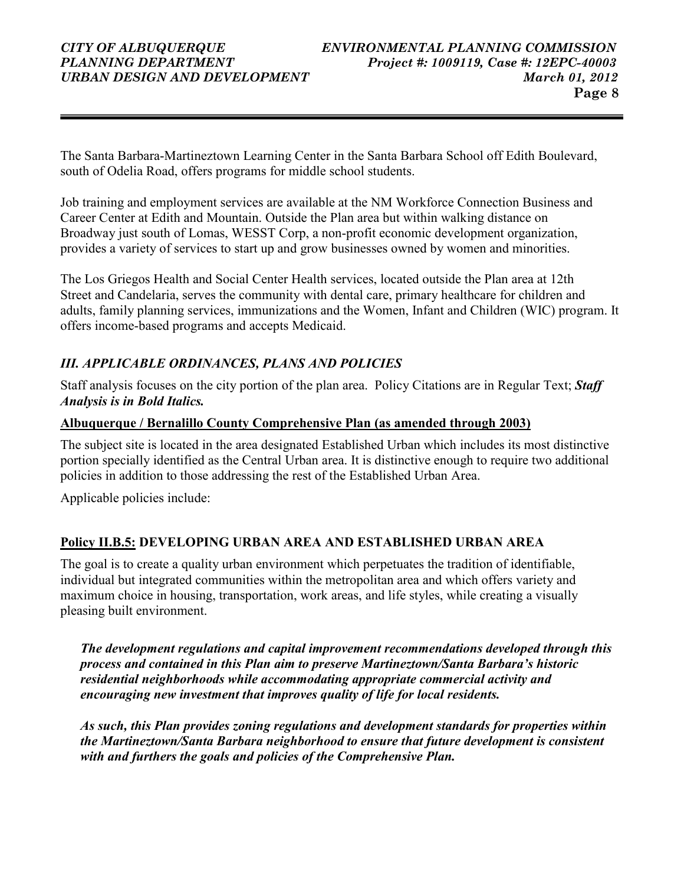The Santa Barbara-Martineztown Learning Center in the Santa Barbara School off Edith Boulevard, south of Odelia Road, offers programs for middle school students.

Job training and employment services are available at the NM Workforce Connection Business and Career Center at Edith and Mountain. Outside the Plan area but within walking distance on Broadway just south of Lomas, WESST Corp, a non-profit economic development organization, provides a variety of services to start up and grow businesses owned by women and minorities.

The Los Griegos Health and Social Center Health services, located outside the Plan area at 12th Street and Candelaria, serves the community with dental care, primary healthcare for children and adults, family planning services, immunizations and the Women, Infant and Children (WIC) program. It offers income-based programs and accepts Medicaid.

### III. APPLICABLE ORDINANCES, PLANS AND POLICIES

Staff analysis focuses on the city portion of the plan area. Policy Citations are in Regular Text; Staff Analysis is in Bold Italics.

### Albuquerque / Bernalillo County Comprehensive Plan (as amended through 2003)

The subject site is located in the area designated Established Urban which includes its most distinctive portion specially identified as the Central Urban area. It is distinctive enough to require two additional policies in addition to those addressing the rest of the Established Urban Area.

Applicable policies include:

### Policy II.B.5: DEVELOPING URBAN AREA AND ESTABLISHED URBAN AREA

The goal is to create a quality urban environment which perpetuates the tradition of identifiable, individual but integrated communities within the metropolitan area and which offers variety and maximum choice in housing, transportation, work areas, and life styles, while creating a visually pleasing built environment.

The development regulations and capital improvement recommendations developed through this process and contained in this Plan aim to preserve Martineztown/Santa Barbara's historic residential neighborhoods while accommodating appropriate commercial activity and encouraging new investment that improves quality of life for local residents.

As such, this Plan provides zoning regulations and development standards for properties within the Martineztown/Santa Barbara neighborhood to ensure that future development is consistent with and furthers the goals and policies of the Comprehensive Plan.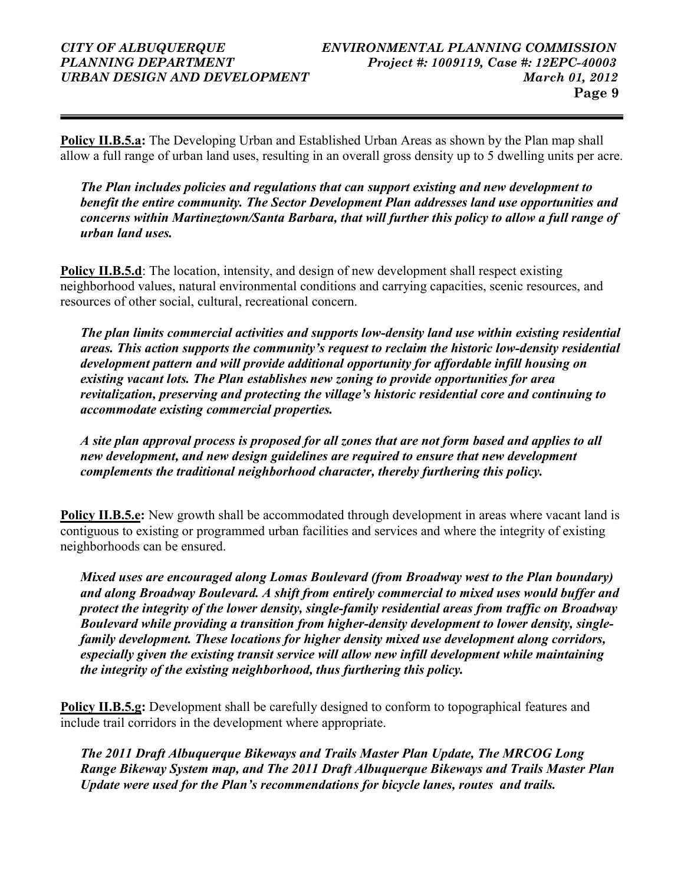Policy II.B.5.a: The Developing Urban and Established Urban Areas as shown by the Plan map shall allow a full range of urban land uses, resulting in an overall gross density up to 5 dwelling units per acre.

The Plan includes policies and regulations that can support existing and new development to benefit the entire community. The Sector Development Plan addresses land use opportunities and concerns within Martineztown/Santa Barbara, that will further this policy to allow a full range of urban land uses.

Policy II.B.5.d: The location, intensity, and design of new development shall respect existing neighborhood values, natural environmental conditions and carrying capacities, scenic resources, and resources of other social, cultural, recreational concern.

The plan limits commercial activities and supports low-density land use within existing residential areas. This action supports the community's request to reclaim the historic low-density residential development pattern and will provide additional opportunity for affordable infill housing on existing vacant lots. The Plan establishes new zoning to provide opportunities for area revitalization, preserving and protecting the village's historic residential core and continuing to accommodate existing commercial properties.

A site plan approval process is proposed for all zones that are not form based and applies to all new development, and new design guidelines are required to ensure that new development complements the traditional neighborhood character, thereby furthering this policy.

**Policy II.B.5.e:** New growth shall be accommodated through development in areas where vacant land is contiguous to existing or programmed urban facilities and services and where the integrity of existing neighborhoods can be ensured.

Mixed uses are encouraged along Lomas Boulevard (from Broadway west to the Plan boundary) and along Broadway Boulevard. A shift from entirely commercial to mixed uses would buffer and protect the integrity of the lower density, single-family residential areas from traffic on Broadway Boulevard while providing a transition from higher-density development to lower density, singlefamily development. These locations for higher density mixed use development along corridors, especially given the existing transit service will allow new infill development while maintaining the integrity of the existing neighborhood, thus furthering this policy.

Policy II.B.5.g: Development shall be carefully designed to conform to topographical features and include trail corridors in the development where appropriate.

The 2011 Draft Albuquerque Bikeways and Trails Master Plan Update, The MRCOG Long Range Bikeway System map, and The 2011 Draft Albuquerque Bikeways and Trails Master Plan Update were used for the Plan's recommendations for bicycle lanes, routes and trails.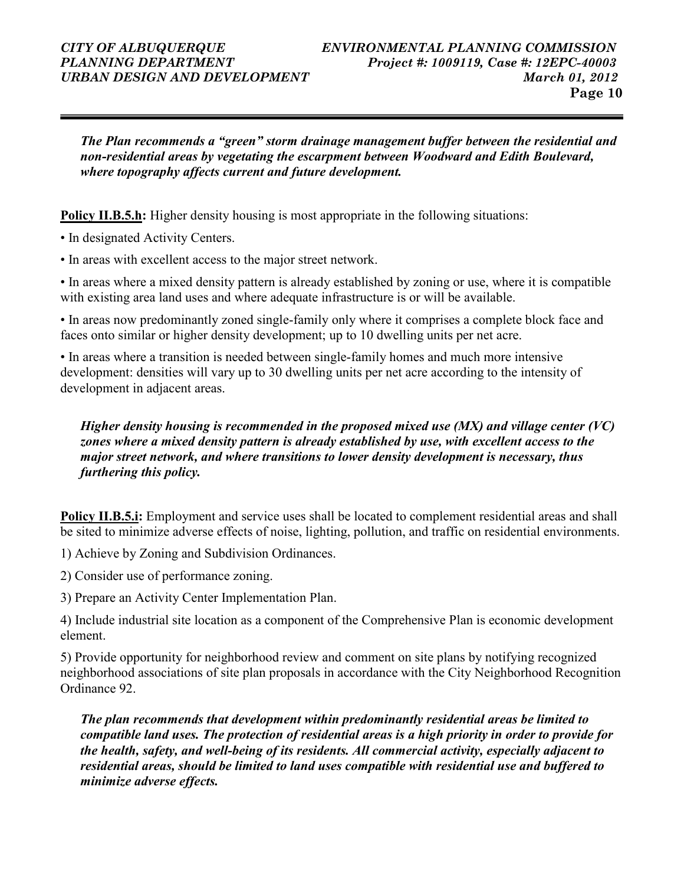The Plan recommends a "green" storm drainage management buffer between the residential and non-residential areas by vegetating the escarpment between Woodward and Edith Boulevard, where topography affects current and future development.

**Policy II.B.5.h:** Higher density housing is most appropriate in the following situations:

- In designated Activity Centers.
- In areas with excellent access to the major street network.

• In areas where a mixed density pattern is already established by zoning or use, where it is compatible with existing area land uses and where adequate infrastructure is or will be available.

• In areas now predominantly zoned single-family only where it comprises a complete block face and faces onto similar or higher density development; up to 10 dwelling units per net acre.

• In areas where a transition is needed between single-family homes and much more intensive development: densities will vary up to 30 dwelling units per net acre according to the intensity of development in adjacent areas.

#### Higher density housing is recommended in the proposed mixed use (MX) and village center (VC) zones where a mixed density pattern is already established by use, with excellent access to the major street network, and where transitions to lower density development is necessary, thus furthering this policy.

Policy II.B.5.i: Employment and service uses shall be located to complement residential areas and shall be sited to minimize adverse effects of noise, lighting, pollution, and traffic on residential environments.

1) Achieve by Zoning and Subdivision Ordinances.

- 2) Consider use of performance zoning.
- 3) Prepare an Activity Center Implementation Plan.

4) Include industrial site location as a component of the Comprehensive Plan is economic development element.

5) Provide opportunity for neighborhood review and comment on site plans by notifying recognized neighborhood associations of site plan proposals in accordance with the City Neighborhood Recognition Ordinance 92.

The plan recommends that development within predominantly residential areas be limited to compatible land uses. The protection of residential areas is a high priority in order to provide for the health, safety, and well-being of its residents. All commercial activity, especially adjacent to residential areas, should be limited to land uses compatible with residential use and buffered to minimize adverse effects.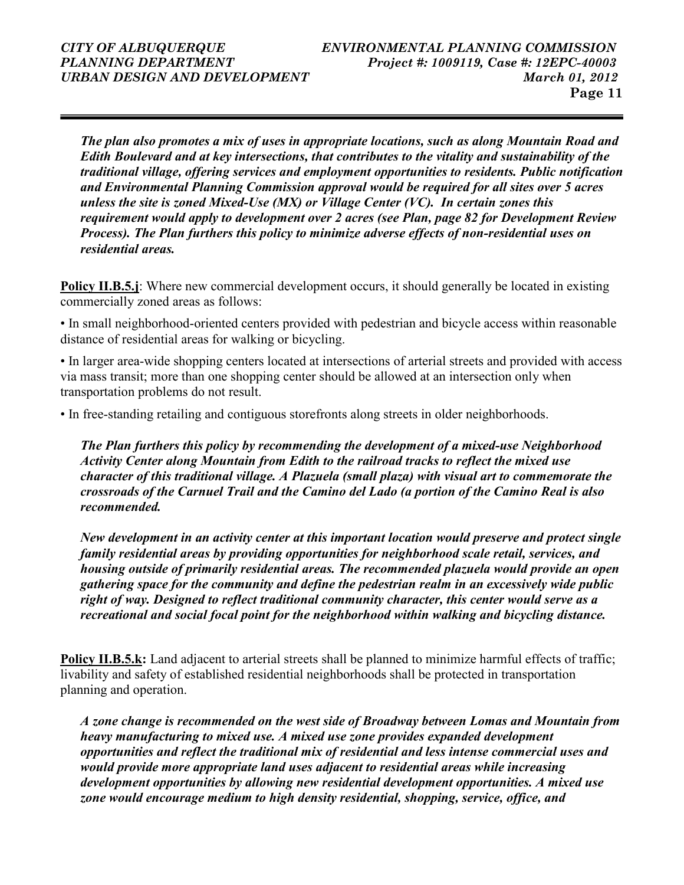The plan also promotes a mix of uses in appropriate locations, such as along Mountain Road and Edith Boulevard and at key intersections, that contributes to the vitality and sustainability of the traditional village, offering services and employment opportunities to residents. Public notification and Environmental Planning Commission approval would be required for all sites over 5 acres unless the site is zoned Mixed-Use (MX) or Village Center (VC). In certain zones this requirement would apply to development over 2 acres (see Plan, page 82 for Development Review Process). The Plan furthers this policy to minimize adverse effects of non-residential uses on residential areas.

Policy II.B.5.j: Where new commercial development occurs, it should generally be located in existing commercially zoned areas as follows:

• In small neighborhood-oriented centers provided with pedestrian and bicycle access within reasonable distance of residential areas for walking or bicycling.

• In larger area-wide shopping centers located at intersections of arterial streets and provided with access via mass transit; more than one shopping center should be allowed at an intersection only when transportation problems do not result.

• In free-standing retailing and contiguous storefronts along streets in older neighborhoods.

The Plan furthers this policy by recommending the development of a mixed-use Neighborhood Activity Center along Mountain from Edith to the railroad tracks to reflect the mixed use character of this traditional village. A Plazuela (small plaza) with visual art to commemorate the crossroads of the Carnuel Trail and the Camino del Lado (a portion of the Camino Real is also recommended.

New development in an activity center at this important location would preserve and protect single family residential areas by providing opportunities for neighborhood scale retail, services, and housing outside of primarily residential areas. The recommended plazuela would provide an open gathering space for the community and define the pedestrian realm in an excessively wide public right of way. Designed to reflect traditional community character, this center would serve as a recreational and social focal point for the neighborhood within walking and bicycling distance.

Policy II.B.5.k: Land adjacent to arterial streets shall be planned to minimize harmful effects of traffic; livability and safety of established residential neighborhoods shall be protected in transportation planning and operation.

A zone change is recommended on the west side of Broadway between Lomas and Mountain from heavy manufacturing to mixed use. A mixed use zone provides expanded development opportunities and reflect the traditional mix of residential and less intense commercial uses and would provide more appropriate land uses adjacent to residential areas while increasing development opportunities by allowing new residential development opportunities. A mixed use zone would encourage medium to high density residential, shopping, service, office, and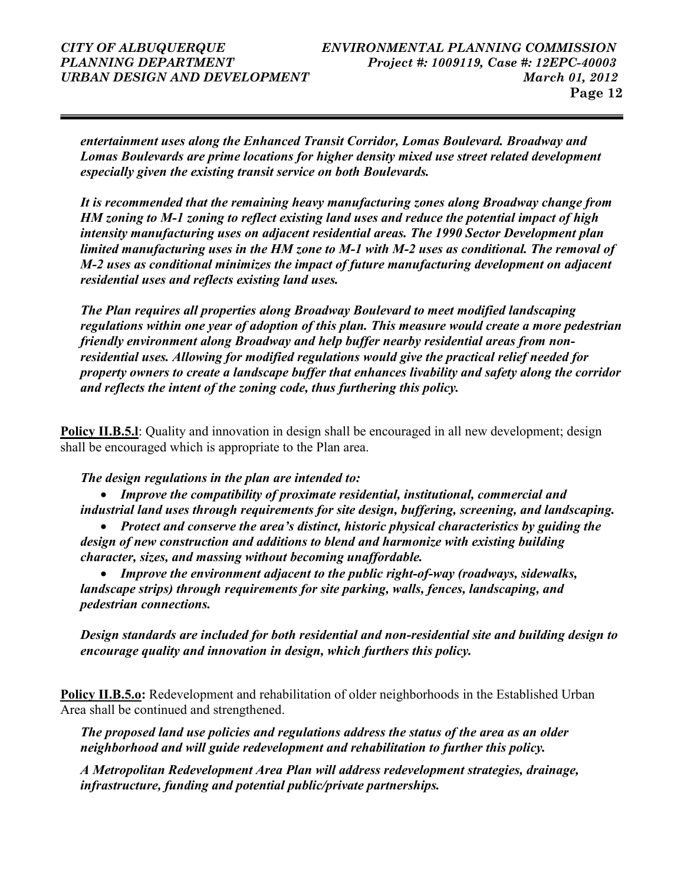entertainment uses along the Enhanced Transit Corridor, Lomas Boulevard. Broadway and Lomas Boulevards are prime locations for higher density mixed use street related development especially given the existing transit service on both Boulevards.

It is recommended that the remaining heavy manufacturing zones along Broadway change from HM zoning to M-1 zoning to reflect existing land uses and reduce the potential impact of high intensity manufacturing uses on adjacent residential areas. The 1990 Sector Development plan limited manufacturing uses in the HM zone to M-1 with M-2 uses as conditional. The removal of M-2 uses as conditional minimizes the impact of future manufacturing development on adjacent residential uses and reflects existing land uses.

The Plan requires all properties along Broadway Boulevard to meet modified landscaping regulations within one year of adoption of this plan. This measure would create a more pedestrian friendly environment along Broadway and help buffer nearby residential areas from nonresidential uses. Allowing for modified regulations would give the practical relief needed for property owners to create a landscape buffer that enhances livability and safety along the corridor and reflects the intent of the zoning code, thus furthering this policy.

Policy II.B.5.l: Quality and innovation in design shall be encouraged in all new development; design shall be encouraged which is appropriate to the Plan area.

The design regulations in the plan are intended to:

• Improve the compatibility of proximate residential, institutional, commercial and industrial land uses through requirements for site design, buffering, screening, and landscaping.

• Protect and conserve the area's distinct, historic physical characteristics by guiding the design of new construction and additions to blend and harmonize with existing building character, sizes, and massing without becoming unaffordable.

• Improve the environment adjacent to the public right-of-way (roadways, sidewalks, landscape strips) through requirements for site parking, walls, fences, landscaping, and pedestrian connections.

Design standards are included for both residential and non-residential site and building design to encourage quality and innovation in design, which furthers this policy.

Policy II.B.5.o: Redevelopment and rehabilitation of older neighborhoods in the Established Urban Area shall be continued and strengthened.

The proposed land use policies and regulations address the status of the area as an older neighborhood and will guide redevelopment and rehabilitation to further this policy.

A Metropolitan Redevelopment Area Plan will address redevelopment strategies, drainage, infrastructure, funding and potential public/private partnerships.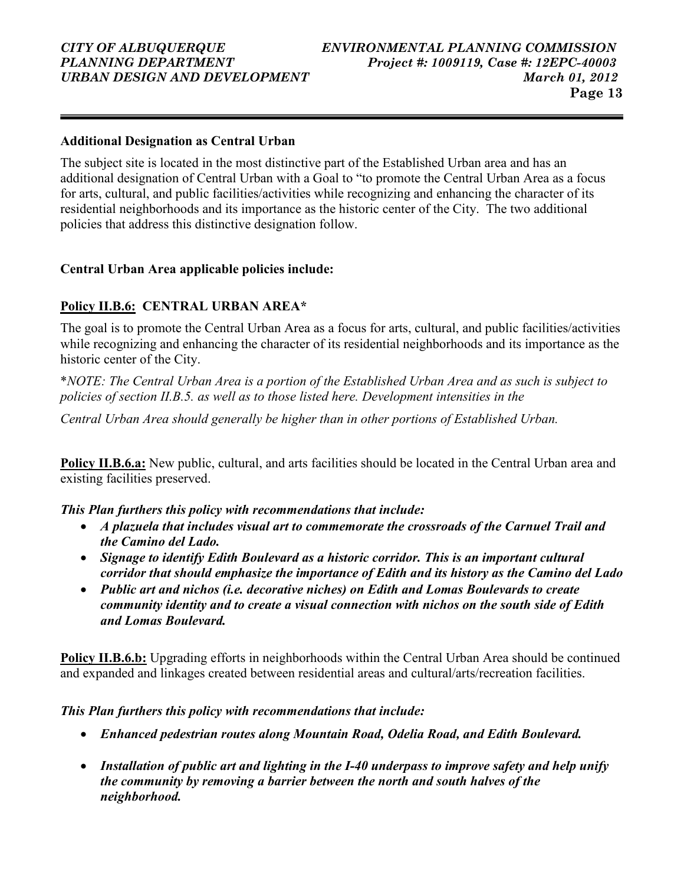#### Additional Designation as Central Urban

The subject site is located in the most distinctive part of the Established Urban area and has an additional designation of Central Urban with a Goal to "to promote the Central Urban Area as a focus for arts, cultural, and public facilities/activities while recognizing and enhancing the character of its residential neighborhoods and its importance as the historic center of the City. The two additional policies that address this distinctive designation follow.

#### Central Urban Area applicable policies include:

### Policy II.B.6: CENTRAL URBAN AREA\*

The goal is to promote the Central Urban Area as a focus for arts, cultural, and public facilities/activities while recognizing and enhancing the character of its residential neighborhoods and its importance as the historic center of the City.

\*NOTE: The Central Urban Area is a portion of the Established Urban Area and as such is subject to policies of section II.B.5. as well as to those listed here. Development intensities in the

Central Urban Area should generally be higher than in other portions of Established Urban.

Policy II.B.6.a: New public, cultural, and arts facilities should be located in the Central Urban area and existing facilities preserved.

This Plan furthers this policy with recommendations that include:

- A plazuela that includes visual art to commemorate the crossroads of the Carnuel Trail and the Camino del Lado.
- Signage to identify Edith Boulevard as a historic corridor. This is an important cultural corridor that should emphasize the importance of Edith and its history as the Camino del Lado
- Public art and nichos (i.e. decorative niches) on Edith and Lomas Boulevards to create community identity and to create a visual connection with nichos on the south side of Edith and Lomas Boulevard.

Policy II.B.6.b: Upgrading efforts in neighborhoods within the Central Urban Area should be continued and expanded and linkages created between residential areas and cultural/arts/recreation facilities.

### This Plan furthers this policy with recommendations that include:

- Enhanced pedestrian routes along Mountain Road, Odelia Road, and Edith Boulevard.
- Installation of public art and lighting in the I-40 underpass to improve safety and help unify the community by removing a barrier between the north and south halves of the neighborhood.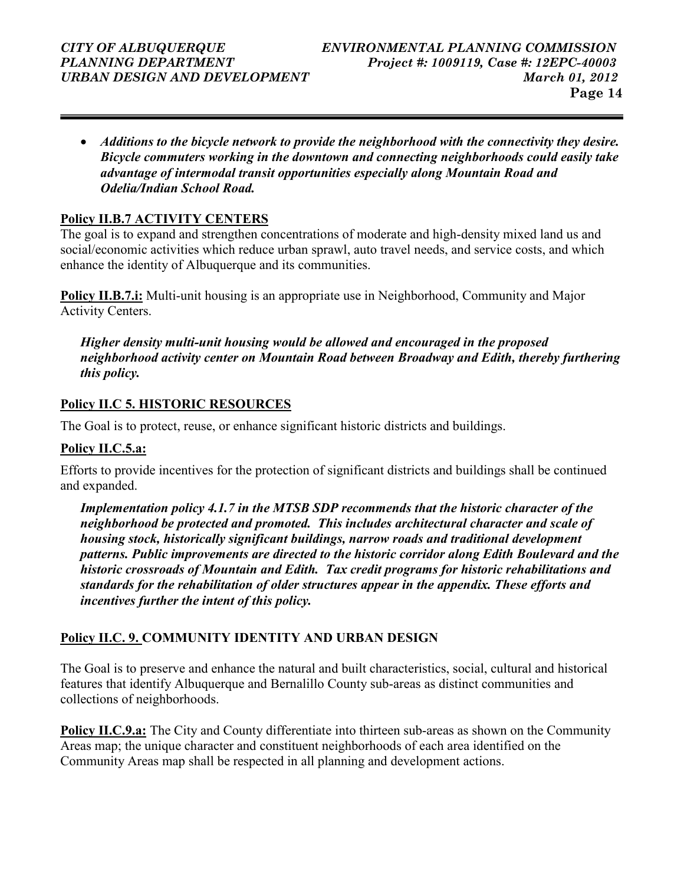• Additions to the bicycle network to provide the neighborhood with the connectivity they desire. Bicycle commuters working in the downtown and connecting neighborhoods could easily take advantage of intermodal transit opportunities especially along Mountain Road and Odelia/Indian School Road.

#### Policy II.B.7 ACTIVITY CENTERS

The goal is to expand and strengthen concentrations of moderate and high-density mixed land us and social/economic activities which reduce urban sprawl, auto travel needs, and service costs, and which enhance the identity of Albuquerque and its communities.

Policy II.B.7.i: Multi-unit housing is an appropriate use in Neighborhood, Community and Major Activity Centers.

Higher density multi-unit housing would be allowed and encouraged in the proposed neighborhood activity center on Mountain Road between Broadway and Edith, thereby furthering this policy.

#### Policy II.C 5. HISTORIC RESOURCES

The Goal is to protect, reuse, or enhance significant historic districts and buildings.

#### Policy II.C.5.a:

Efforts to provide incentives for the protection of significant districts and buildings shall be continued and expanded.

Implementation policy 4.1.7 in the MTSB SDP recommends that the historic character of the neighborhood be protected and promoted. This includes architectural character and scale of housing stock, historically significant buildings, narrow roads and traditional development patterns. Public improvements are directed to the historic corridor along Edith Boulevard and the historic crossroads of Mountain and Edith. Tax credit programs for historic rehabilitations and standards for the rehabilitation of older structures appear in the appendix. These efforts and incentives further the intent of this policy.

### Policy II.C. 9. COMMUNITY IDENTITY AND URBAN DESIGN

The Goal is to preserve and enhance the natural and built characteristics, social, cultural and historical features that identify Albuquerque and Bernalillo County sub-areas as distinct communities and collections of neighborhoods.

Policy II.C.9.a: The City and County differentiate into thirteen sub-areas as shown on the Community Areas map; the unique character and constituent neighborhoods of each area identified on the Community Areas map shall be respected in all planning and development actions.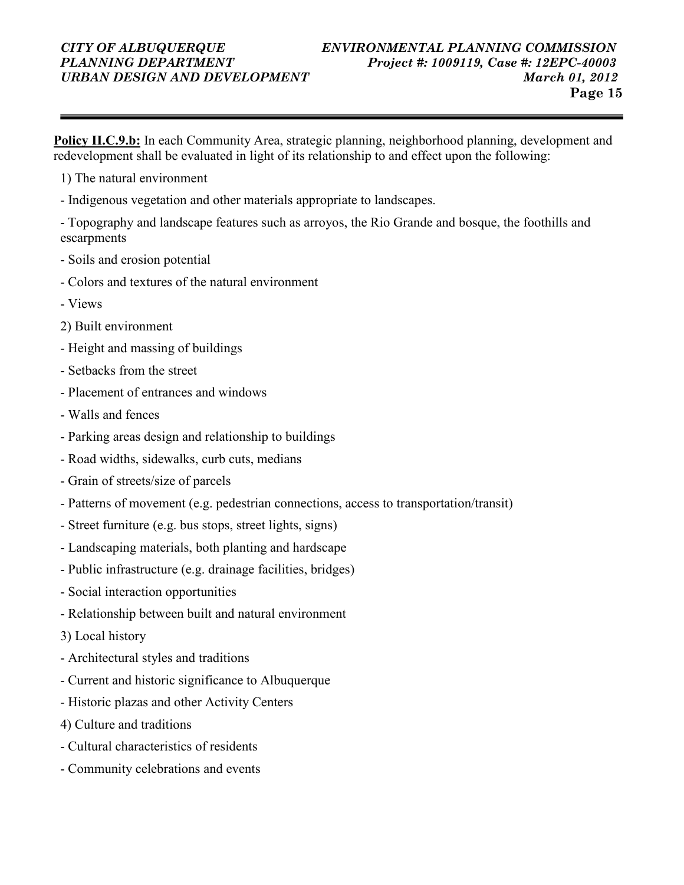Policy II.C.9.b: In each Community Area, strategic planning, neighborhood planning, development and redevelopment shall be evaluated in light of its relationship to and effect upon the following:

- 1) The natural environment
- Indigenous vegetation and other materials appropriate to landscapes.

- Topography and landscape features such as arroyos, the Rio Grande and bosque, the foothills and escarpments

- Soils and erosion potential
- Colors and textures of the natural environment
- Views
- 2) Built environment
- Height and massing of buildings
- Setbacks from the street
- Placement of entrances and windows
- Walls and fences
- Parking areas design and relationship to buildings
- Road widths, sidewalks, curb cuts, medians
- Grain of streets/size of parcels
- Patterns of movement (e.g. pedestrian connections, access to transportation/transit)
- Street furniture (e.g. bus stops, street lights, signs)
- Landscaping materials, both planting and hardscape
- Public infrastructure (e.g. drainage facilities, bridges)
- Social interaction opportunities
- Relationship between built and natural environment
- 3) Local history
- Architectural styles and traditions
- Current and historic significance to Albuquerque
- Historic plazas and other Activity Centers
- 4) Culture and traditions
- Cultural characteristics of residents
- Community celebrations and events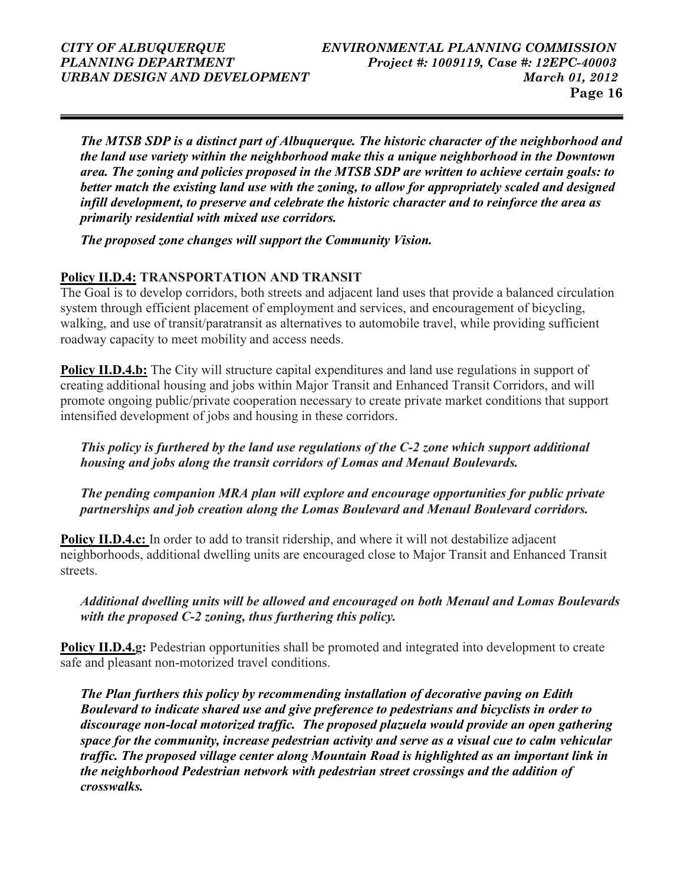The MTSB SDP is a distinct part of Albuquerque. The historic character of the neighborhood and the land use variety within the neighborhood make this a unique neighborhood in the Downtown area. The zoning and policies proposed in the MTSB SDP are written to achieve certain goals: to better match the existing land use with the zoning, to allow for appropriately scaled and designed infill development, to preserve and celebrate the historic character and to reinforce the area as primarily residential with mixed use corridors.

The proposed zone changes will support the Community Vision.

### Policy II.D.4: TRANSPORTATION AND TRANSIT

The Goal is to develop corridors, both streets and adjacent land uses that provide a balanced circulation system through efficient placement of employment and services, and encouragement of bicycling, walking, and use of transit/paratransit as alternatives to automobile travel, while providing sufficient roadway capacity to meet mobility and access needs.

Policy II.D.4.b: The City will structure capital expenditures and land use regulations in support of creating additional housing and jobs within Major Transit and Enhanced Transit Corridors, and will promote ongoing public/private cooperation necessary to create private market conditions that support intensified development of jobs and housing in these corridors.

This policy is furthered by the land use regulations of the C-2 zone which support additional housing and jobs along the transit corridors of Lomas and Menaul Boulevards.

The pending companion MRA plan will explore and encourage opportunities for public private partnerships and job creation along the Lomas Boulevard and Menaul Boulevard corridors.

Policy II.D.4.c: In order to add to transit ridership, and where it will not destabilize adjacent neighborhoods, additional dwelling units are encouraged close to Major Transit and Enhanced Transit streets.

Additional dwelling units will be allowed and encouraged on both Menaul and Lomas Boulevards with the proposed C-2 zoning, thus furthering this policy.

Policy II.D.4.g: Pedestrian opportunities shall be promoted and integrated into development to create safe and pleasant non-motorized travel conditions.

The Plan furthers this policy by recommending installation of decorative paving on Edith Boulevard to indicate shared use and give preference to pedestrians and bicyclists in order to discourage non-local motorized traffic. The proposed plazuela would provide an open gathering space for the community, increase pedestrian activity and serve as a visual cue to calm vehicular traffic. The proposed village center along Mountain Road is highlighted as an important link in the neighborhood Pedestrian network with pedestrian street crossings and the addition of crosswalks.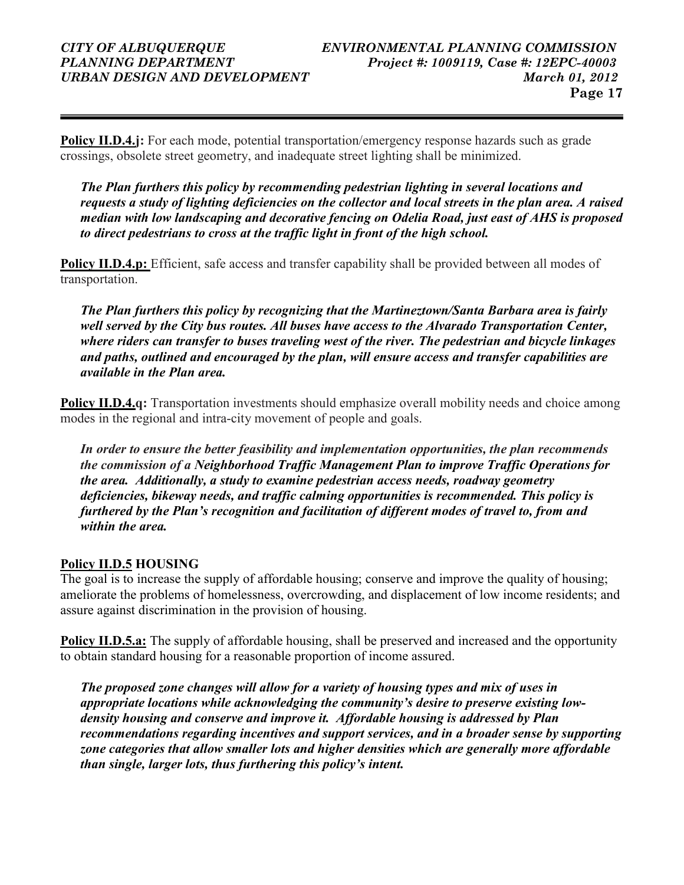Policy II.D.4.j: For each mode, potential transportation/emergency response hazards such as grade crossings, obsolete street geometry, and inadequate street lighting shall be minimized.

The Plan furthers this policy by recommending pedestrian lighting in several locations and requests a study of lighting deficiencies on the collector and local streets in the plan area. A raised median with low landscaping and decorative fencing on Odelia Road, just east of AHS is proposed to direct pedestrians to cross at the traffic light in front of the high school.

Policy II.D.4.p: Efficient, safe access and transfer capability shall be provided between all modes of transportation.

The Plan furthers this policy by recognizing that the Martineztown/Santa Barbara area is fairly well served by the City bus routes. All buses have access to the Alvarado Transportation Center, where riders can transfer to buses traveling west of the river. The pedestrian and bicycle linkages and paths, outlined and encouraged by the plan, will ensure access and transfer capabilities are available in the Plan area.

**Policy II.D.4.q:** Transportation investments should emphasize overall mobility needs and choice among modes in the regional and intra-city movement of people and goals.

In order to ensure the better feasibility and implementation opportunities, the plan recommends the commission of a Neighborhood Traffic Management Plan to improve Traffic Operations for the area. Additionally, a study to examine pedestrian access needs, roadway geometry deficiencies, bikeway needs, and traffic calming opportunities is recommended. This policy is furthered by the Plan's recognition and facilitation of different modes of travel to, from and within the area.

### Policy II.D.5 HOUSING

The goal is to increase the supply of affordable housing; conserve and improve the quality of housing; ameliorate the problems of homelessness, overcrowding, and displacement of low income residents; and assure against discrimination in the provision of housing.

Policy II.D.5.a: The supply of affordable housing, shall be preserved and increased and the opportunity to obtain standard housing for a reasonable proportion of income assured.

The proposed zone changes will allow for a variety of housing types and mix of uses in appropriate locations while acknowledging the community's desire to preserve existing lowdensity housing and conserve and improve it. Affordable housing is addressed by Plan recommendations regarding incentives and support services, and in a broader sense by supporting zone categories that allow smaller lots and higher densities which are generally more affordable than single, larger lots, thus furthering this policy's intent.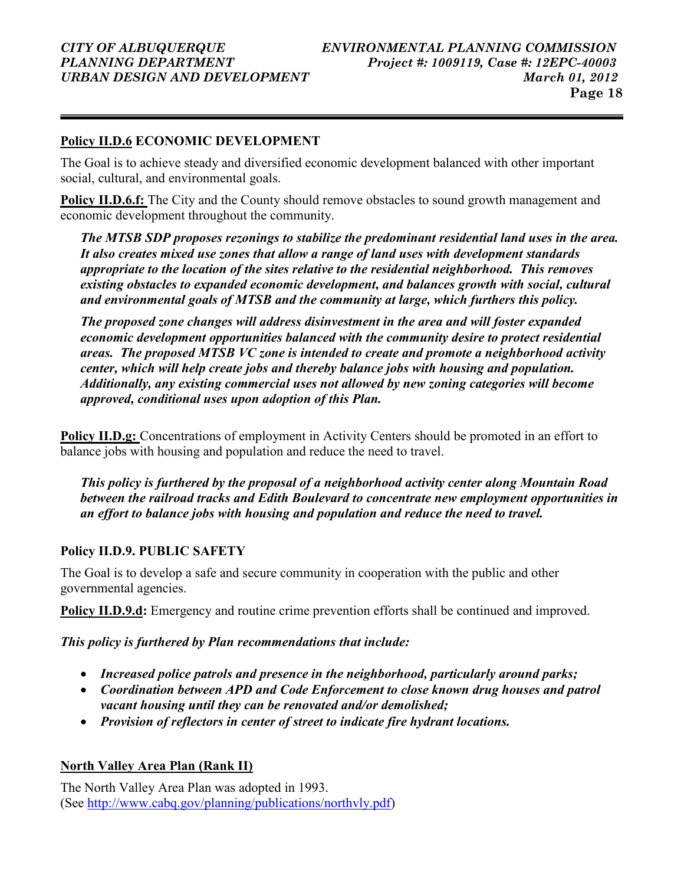### Policy II.D.6 ECONOMIC DEVELOPMENT

The Goal is to achieve steady and diversified economic development balanced with other important social, cultural, and environmental goals.

Policy II.D.6.f: The City and the County should remove obstacles to sound growth management and economic development throughout the community.

The MTSB SDP proposes rezonings to stabilize the predominant residential land uses in the area. It also creates mixed use zones that allow a range of land uses with development standards appropriate to the location of the sites relative to the residential neighborhood. This removes existing obstacles to expanded economic development, and balances growth with social, cultural and environmental goals of MTSB and the community at large, which furthers this policy.

The proposed zone changes will address disinvestment in the area and will foster expanded economic development opportunities balanced with the community desire to protect residential areas. The proposed MTSB VC zone is intended to create and promote a neighborhood activity center, which will help create jobs and thereby balance jobs with housing and population. Additionally, any existing commercial uses not allowed by new zoning categories will become approved, conditional uses upon adoption of this Plan.

Policy II.D.g: Concentrations of employment in Activity Centers should be promoted in an effort to balance jobs with housing and population and reduce the need to travel.

This policy is furthered by the proposal of a neighborhood activity center along Mountain Road between the railroad tracks and Edith Boulevard to concentrate new employment opportunities in an effort to balance jobs with housing and population and reduce the need to travel.

### Policy II.D.9. PUBLIC SAFETY

The Goal is to develop a safe and secure community in cooperation with the public and other governmental agencies.

Policy II.D.9.d: Emergency and routine crime prevention efforts shall be continued and improved.

This policy is furthered by Plan recommendations that include:

- Increased police patrols and presence in the neighborhood, particularly around parks;
- Coordination between APD and Code Enforcement to close known drug houses and patrol vacant housing until they can be renovated and/or demolished;
- Provision of reflectors in center of street to indicate fire hydrant locations.

### North Valley Area Plan (Rank II)

The North Valley Area Plan was adopted in 1993. (See http://www.cabq.gov/planning/publications/northvly.pdf)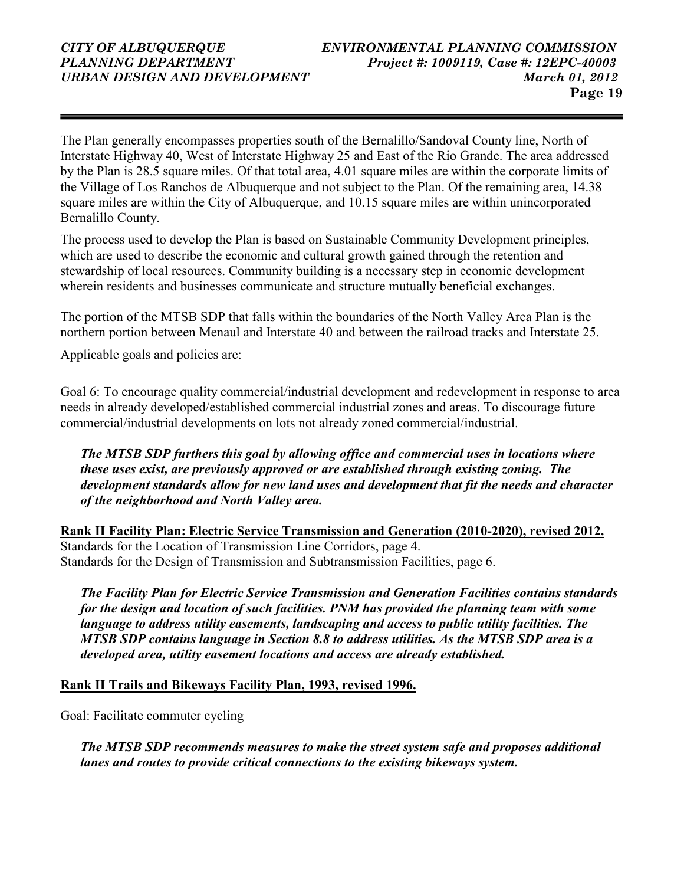The Plan generally encompasses properties south of the Bernalillo/Sandoval County line, North of Interstate Highway 40, West of Interstate Highway 25 and East of the Rio Grande. The area addressed by the Plan is 28.5 square miles. Of that total area, 4.01 square miles are within the corporate limits of the Village of Los Ranchos de Albuquerque and not subject to the Plan. Of the remaining area, 14.38 square miles are within the City of Albuquerque, and 10.15 square miles are within unincorporated Bernalillo County.

The process used to develop the Plan is based on Sustainable Community Development principles, which are used to describe the economic and cultural growth gained through the retention and stewardship of local resources. Community building is a necessary step in economic development wherein residents and businesses communicate and structure mutually beneficial exchanges.

The portion of the MTSB SDP that falls within the boundaries of the North Valley Area Plan is the northern portion between Menaul and Interstate 40 and between the railroad tracks and Interstate 25.

Applicable goals and policies are:

Goal 6: To encourage quality commercial/industrial development and redevelopment in response to area needs in already developed/established commercial industrial zones and areas. To discourage future commercial/industrial developments on lots not already zoned commercial/industrial.

The MTSB SDP furthers this goal by allowing office and commercial uses in locations where these uses exist, are previously approved or are established through existing zoning. The development standards allow for new land uses and development that fit the needs and character of the neighborhood and North Valley area.

Rank II Facility Plan: Electric Service Transmission and Generation (2010-2020), revised 2012. Standards for the Location of Transmission Line Corridors, page 4. Standards for the Design of Transmission and Subtransmission Facilities, page 6.

The Facility Plan for Electric Service Transmission and Generation Facilities contains standards for the design and location of such facilities. PNM has provided the planning team with some language to address utility easements, landscaping and access to public utility facilities. The MTSB SDP contains language in Section 8.8 to address utilities. As the MTSB SDP area is a developed area, utility easement locations and access are already established.

#### Rank II Trails and Bikeways Facility Plan, 1993, revised 1996.

Goal: Facilitate commuter cycling

The MTSB SDP recommends measures to make the street system safe and proposes additional lanes and routes to provide critical connections to the existing bikeways system.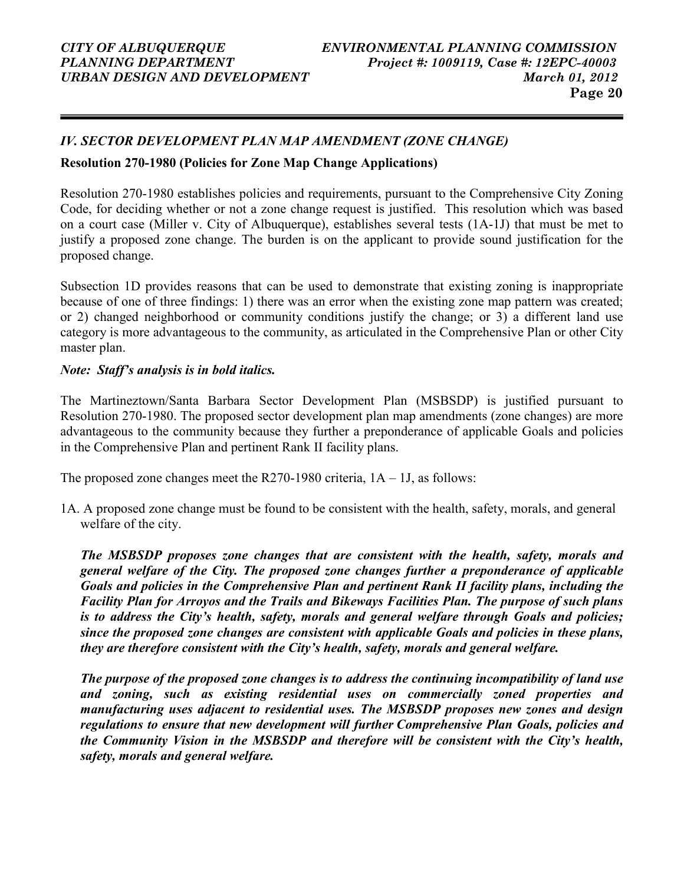### IV. SECTOR DEVELOPMENT PLAN MAP AMENDMENT (ZONE CHANGE)

#### Resolution 270-1980 (Policies for Zone Map Change Applications)

Resolution 270-1980 establishes policies and requirements, pursuant to the Comprehensive City Zoning Code, for deciding whether or not a zone change request is justified. This resolution which was based on a court case (Miller v. City of Albuquerque), establishes several tests (1A-1J) that must be met to justify a proposed zone change. The burden is on the applicant to provide sound justification for the proposed change.

Subsection 1D provides reasons that can be used to demonstrate that existing zoning is inappropriate because of one of three findings: 1) there was an error when the existing zone map pattern was created; or 2) changed neighborhood or community conditions justify the change; or 3) a different land use category is more advantageous to the community, as articulated in the Comprehensive Plan or other City master plan.

#### Note: Staff's analysis is in bold italics.

The Martineztown/Santa Barbara Sector Development Plan (MSBSDP) is justified pursuant to Resolution 270-1980. The proposed sector development plan map amendments (zone changes) are more advantageous to the community because they further a preponderance of applicable Goals and policies in the Comprehensive Plan and pertinent Rank II facility plans.

The proposed zone changes meet the R270-1980 criteria,  $1A - 1J$ , as follows:

1A. A proposed zone change must be found to be consistent with the health, safety, morals, and general welfare of the city.

The MSBSDP proposes zone changes that are consistent with the health, safety, morals and general welfare of the City. The proposed zone changes further a preponderance of applicable Goals and policies in the Comprehensive Plan and pertinent Rank II facility plans, including the Facility Plan for Arroyos and the Trails and Bikeways Facilities Plan. The purpose of such plans is to address the City's health, safety, morals and general welfare through Goals and policies; since the proposed zone changes are consistent with applicable Goals and policies in these plans, they are therefore consistent with the City's health, safety, morals and general welfare.

The purpose of the proposed zone changes is to address the continuing incompatibility of land use and zoning, such as existing residential uses on commercially zoned properties and manufacturing uses adjacent to residential uses. The MSBSDP proposes new zones and design regulations to ensure that new development will further Comprehensive Plan Goals, policies and the Community Vision in the MSBSDP and therefore will be consistent with the City's health, safety, morals and general welfare.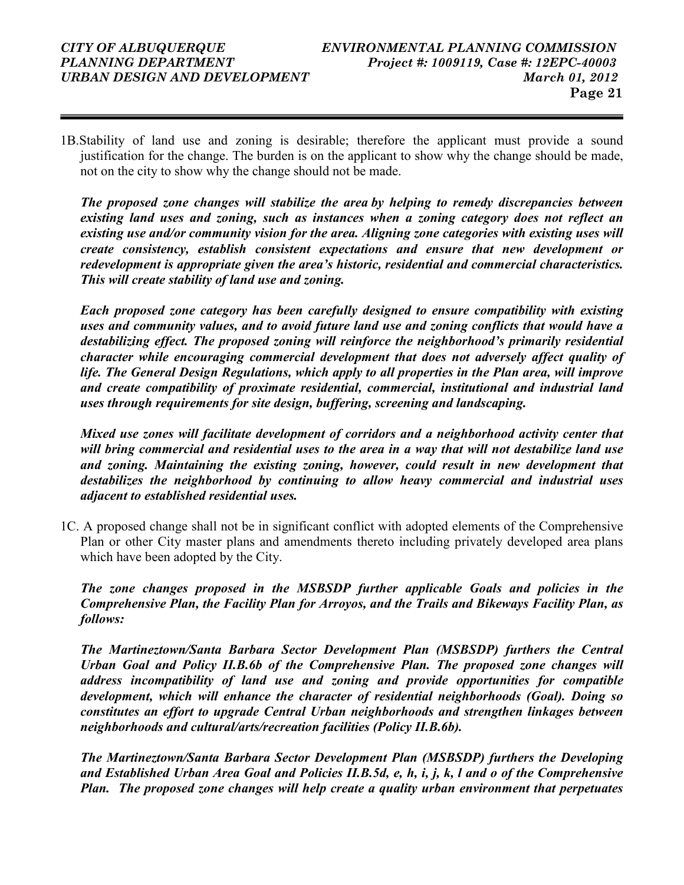1B.Stability of land use and zoning is desirable; therefore the applicant must provide a sound justification for the change. The burden is on the applicant to show why the change should be made, not on the city to show why the change should not be made.

The proposed zone changes will stabilize the area by helping to remedy discrepancies between existing land uses and zoning, such as instances when a zoning category does not reflect an existing use and/or community vision for the area. Aligning zone categories with existing uses will create consistency, establish consistent expectations and ensure that new development or redevelopment is appropriate given the area's historic, residential and commercial characteristics. This will create stability of land use and zoning.

Each proposed zone category has been carefully designed to ensure compatibility with existing uses and community values, and to avoid future land use and zoning conflicts that would have a destabilizing effect. The proposed zoning will reinforce the neighborhood's primarily residential character while encouraging commercial development that does not adversely affect quality of life. The General Design Regulations, which apply to all properties in the Plan area, will improve and create compatibility of proximate residential, commercial, institutional and industrial land uses through requirements for site design, buffering, screening and landscaping.

Mixed use zones will facilitate development of corridors and a neighborhood activity center that will bring commercial and residential uses to the area in a way that will not destabilize land use and zoning. Maintaining the existing zoning, however, could result in new development that destabilizes the neighborhood by continuing to allow heavy commercial and industrial uses adjacent to established residential uses.

1C. A proposed change shall not be in significant conflict with adopted elements of the Comprehensive Plan or other City master plans and amendments thereto including privately developed area plans which have been adopted by the City.

The zone changes proposed in the MSBSDP further applicable Goals and policies in the Comprehensive Plan, the Facility Plan for Arroyos, and the Trails and Bikeways Facility Plan, as follows:

The Martineztown/Santa Barbara Sector Development Plan (MSBSDP) furthers the Central Urban Goal and Policy II.B.6b of the Comprehensive Plan. The proposed zone changes will address incompatibility of land use and zoning and provide opportunities for compatible development, which will enhance the character of residential neighborhoods (Goal). Doing so constitutes an effort to upgrade Central Urban neighborhoods and strengthen linkages between neighborhoods and cultural/arts/recreation facilities (Policy II.B.6b).

The Martineztown/Santa Barbara Sector Development Plan (MSBSDP) furthers the Developing and Established Urban Area Goal and Policies II.B.5d, e, h, i, j, k, l and o of the Comprehensive Plan. The proposed zone changes will help create a quality urban environment that perpetuates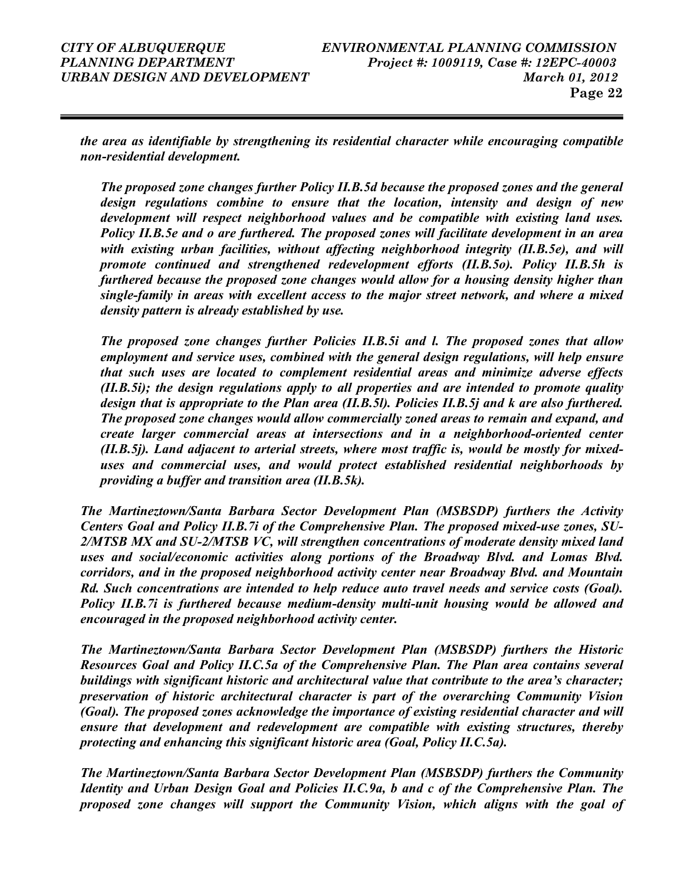the area as identifiable by strengthening its residential character while encouraging compatible non-residential development.

The proposed zone changes further Policy II.B.5d because the proposed zones and the general design regulations combine to ensure that the location, intensity and design of new development will respect neighborhood values and be compatible with existing land uses. Policy II.B.5e and o are furthered. The proposed zones will facilitate development in an area with existing urban facilities, without affecting neighborhood integrity (II.B.5e), and will promote continued and strengthened redevelopment efforts (II.B.5o). Policy II.B.5h is furthered because the proposed zone changes would allow for a housing density higher than single-family in areas with excellent access to the major street network, and where a mixed density pattern is already established by use.

The proposed zone changes further Policies II.B.5i and l. The proposed zones that allow employment and service uses, combined with the general design regulations, will help ensure that such uses are located to complement residential areas and minimize adverse effects (II.B.5i); the design regulations apply to all properties and are intended to promote quality design that is appropriate to the Plan area (II, B.51). Policies II, B.5j and k are also furthered. The proposed zone changes would allow commercially zoned areas to remain and expand, and create larger commercial areas at intersections and in a neighborhood-oriented center (II.B.5j). Land adjacent to arterial streets, where most traffic is, would be mostly for mixeduses and commercial uses, and would protect established residential neighborhoods by providing a buffer and transition area (II.B.5k).

The Martineztown/Santa Barbara Sector Development Plan (MSBSDP) furthers the Activity Centers Goal and Policy II.B.7i of the Comprehensive Plan. The proposed mixed-use zones, SU-2/MTSB MX and SU-2/MTSB VC, will strengthen concentrations of moderate density mixed land uses and social/economic activities along portions of the Broadway Blvd. and Lomas Blvd. corridors, and in the proposed neighborhood activity center near Broadway Blvd. and Mountain Rd. Such concentrations are intended to help reduce auto travel needs and service costs (Goal). Policy II.B.7i is furthered because medium-density multi-unit housing would be allowed and encouraged in the proposed neighborhood activity center.

The Martineztown/Santa Barbara Sector Development Plan (MSBSDP) furthers the Historic Resources Goal and Policy II.C.5a of the Comprehensive Plan. The Plan area contains several buildings with significant historic and architectural value that contribute to the area's character; preservation of historic architectural character is part of the overarching Community Vision (Goal). The proposed zones acknowledge the importance of existing residential character and will ensure that development and redevelopment are compatible with existing structures, thereby protecting and enhancing this significant historic area (Goal, Policy II.C.5a).

The Martineztown/Santa Barbara Sector Development Plan (MSBSDP) furthers the Community Identity and Urban Design Goal and Policies II.C.9a, b and c of the Comprehensive Plan. The proposed zone changes will support the Community Vision, which aligns with the goal of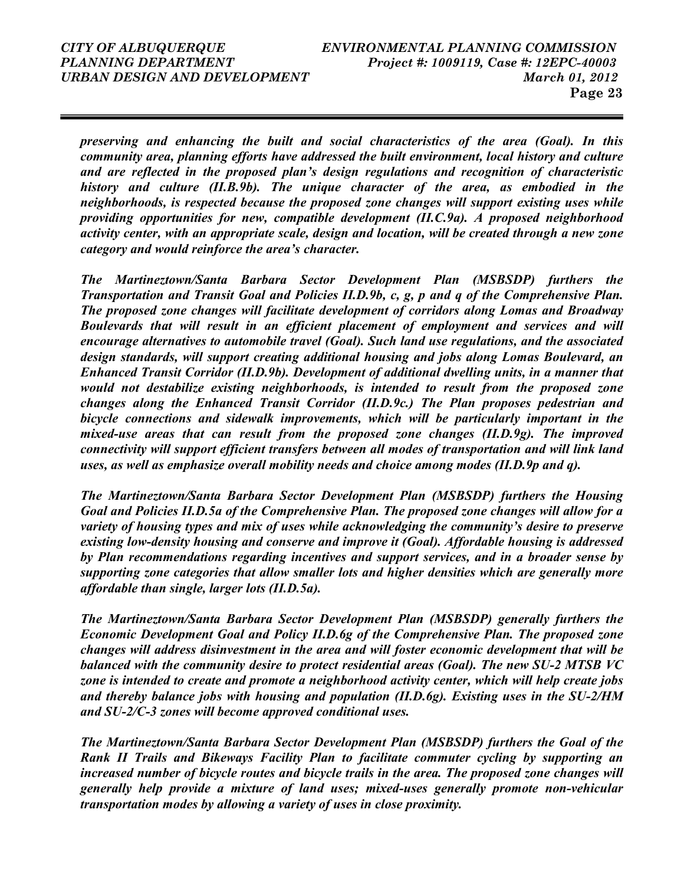preserving and enhancing the built and social characteristics of the area (Goal). In this community area, planning efforts have addressed the built environment, local history and culture and are reflected in the proposed plan's design regulations and recognition of characteristic history and culture (II.B.9b). The unique character of the area, as embodied in the neighborhoods, is respected because the proposed zone changes will support existing uses while providing opportunities for new, compatible development (II.C.9a). A proposed neighborhood activity center, with an appropriate scale, design and location, will be created through a new zone category and would reinforce the area's character.

The Martineztown/Santa Barbara Sector Development Plan (MSBSDP) furthers the Transportation and Transit Goal and Policies II.D.9b, c, g, p and q of the Comprehensive Plan. The proposed zone changes will facilitate development of corridors along Lomas and Broadway Boulevards that will result in an efficient placement of employment and services and will encourage alternatives to automobile travel (Goal). Such land use regulations, and the associated design standards, will support creating additional housing and jobs along Lomas Boulevard, an Enhanced Transit Corridor (II.D.9b). Development of additional dwelling units, in a manner that would not destabilize existing neighborhoods, is intended to result from the proposed zone changes along the Enhanced Transit Corridor (II.D.9c.) The Plan proposes pedestrian and bicycle connections and sidewalk improvements, which will be particularly important in the mixed-use areas that can result from the proposed zone changes (II.D.9g). The improved connectivity will support efficient transfers between all modes of transportation and will link land uses, as well as emphasize overall mobility needs and choice among modes (II.D.9p and q).

The Martineztown/Santa Barbara Sector Development Plan (MSBSDP) furthers the Housing Goal and Policies II.D.5a of the Comprehensive Plan. The proposed zone changes will allow for a variety of housing types and mix of uses while acknowledging the community's desire to preserve existing low-density housing and conserve and improve it (Goal). Affordable housing is addressed by Plan recommendations regarding incentives and support services, and in a broader sense by supporting zone categories that allow smaller lots and higher densities which are generally more affordable than single, larger lots (II.D.5a).

The Martineztown/Santa Barbara Sector Development Plan (MSBSDP) generally furthers the Economic Development Goal and Policy II.D.6g of the Comprehensive Plan. The proposed zone changes will address disinvestment in the area and will foster economic development that will be balanced with the community desire to protect residential areas (Goal). The new SU-2 MTSB VC zone is intended to create and promote a neighborhood activity center, which will help create jobs and thereby balance jobs with housing and population (II.D.6g). Existing uses in the SU-2/HM and SU-2/C-3 zones will become approved conditional uses.

The Martineztown/Santa Barbara Sector Development Plan (MSBSDP) furthers the Goal of the Rank II Trails and Bikeways Facility Plan to facilitate commuter cycling by supporting an increased number of bicycle routes and bicycle trails in the area. The proposed zone changes will generally help provide a mixture of land uses; mixed-uses generally promote non-vehicular transportation modes by allowing a variety of uses in close proximity.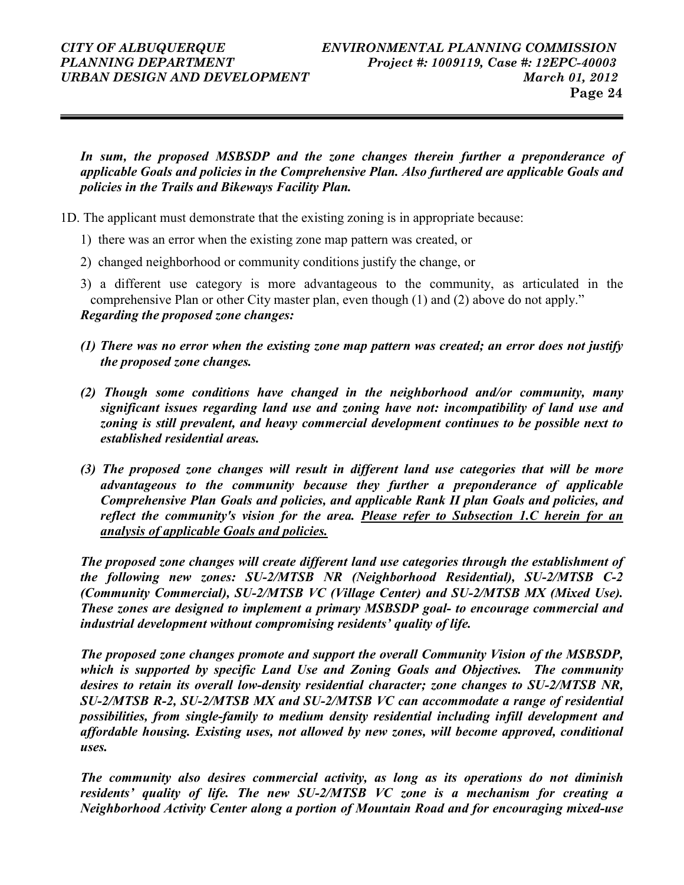In sum, the proposed MSBSDP and the zone changes therein further a preponderance of applicable Goals and policies in the Comprehensive Plan. Also furthered are applicable Goals and policies in the Trails and Bikeways Facility Plan.

- 1D. The applicant must demonstrate that the existing zoning is in appropriate because:
	- 1) there was an error when the existing zone map pattern was created, or
	- 2) changed neighborhood or community conditions justify the change, or
	- 3) a different use category is more advantageous to the community, as articulated in the comprehensive Plan or other City master plan, even though (1) and (2) above do not apply." Regarding the proposed zone changes:
	- (1) There was no error when the existing zone map pattern was created; an error does not justify the proposed zone changes.
	- (2) Though some conditions have changed in the neighborhood and/or community, many significant issues regarding land use and zoning have not: incompatibility of land use and zoning is still prevalent, and heavy commercial development continues to be possible next to established residential areas.
	- (3) The proposed zone changes will result in different land use categories that will be more advantageous to the community because they further a preponderance of applicable Comprehensive Plan Goals and policies, and applicable Rank II plan Goals and policies, and reflect the community's vision for the area. Please refer to Subsection 1.C herein for an analysis of applicable Goals and policies.

The proposed zone changes will create different land use categories through the establishment of the following new zones: SU-2/MTSB NR (Neighborhood Residential), SU-2/MTSB C-2 (Community Commercial), SU-2/MTSB VC (Village Center) and SU-2/MTSB MX (Mixed Use). These zones are designed to implement a primary MSBSDP goal- to encourage commercial and industrial development without compromising residents' quality of life.

The proposed zone changes promote and support the overall Community Vision of the MSBSDP, which is supported by specific Land Use and Zoning Goals and Objectives. The community desires to retain its overall low-density residential character; zone changes to SU-2/MTSB NR, SU-2/MTSB R-2, SU-2/MTSB MX and SU-2/MTSB VC can accommodate a range of residential possibilities, from single-family to medium density residential including infill development and affordable housing. Existing uses, not allowed by new zones, will become approved, conditional uses.

The community also desires commercial activity, as long as its operations do not diminish residents' quality of life. The new SU-2/MTSB VC zone is a mechanism for creating a Neighborhood Activity Center along a portion of Mountain Road and for encouraging mixed-use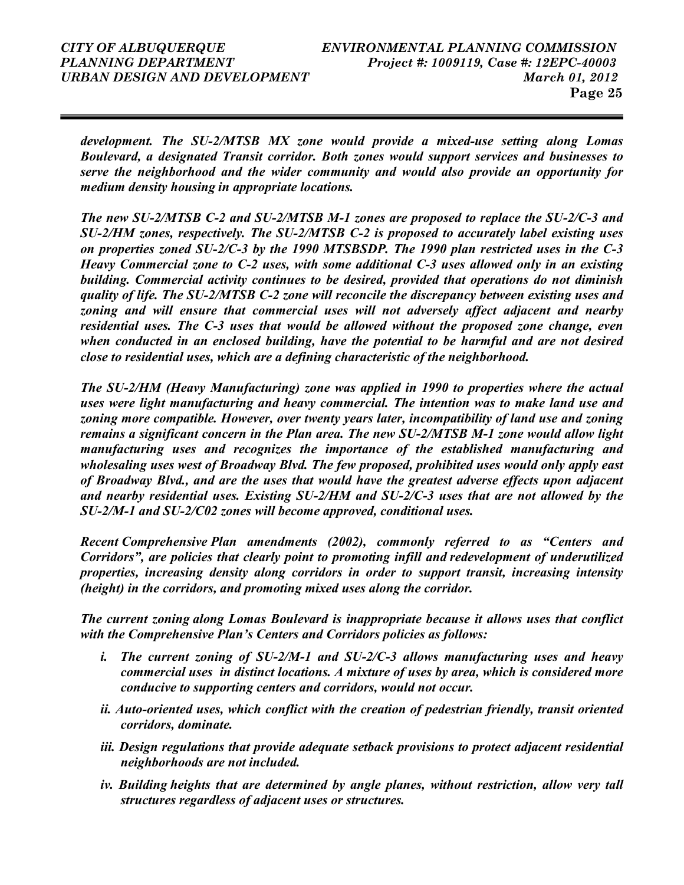development. The SU-2/MTSB MX zone would provide a mixed-use setting along Lomas Boulevard, a designated Transit corridor. Both zones would support services and businesses to serve the neighborhood and the wider community and would also provide an opportunity for medium density housing in appropriate locations.

The new SU-2/MTSB C-2 and SU-2/MTSB M-1 zones are proposed to replace the SU-2/C-3 and SU-2/HM zones, respectively. The SU-2/MTSB C-2 is proposed to accurately label existing uses on properties zoned SU-2/C-3 by the 1990 MTSBSDP. The 1990 plan restricted uses in the C-3 Heavy Commercial zone to C-2 uses, with some additional C-3 uses allowed only in an existing building. Commercial activity continues to be desired, provided that operations do not diminish quality of life. The SU-2/MTSB C-2 zone will reconcile the discrepancy between existing uses and zoning and will ensure that commercial uses will not adversely affect adjacent and nearby residential uses. The C-3 uses that would be allowed without the proposed zone change, even when conducted in an enclosed building, have the potential to be harmful and are not desired close to residential uses, which are a defining characteristic of the neighborhood.

The SU-2/HM (Heavy Manufacturing) zone was applied in 1990 to properties where the actual uses were light manufacturing and heavy commercial. The intention was to make land use and zoning more compatible. However, over twenty years later, incompatibility of land use and zoning remains a significant concern in the Plan area. The new SU-2/MTSB M-1 zone would allow light manufacturing uses and recognizes the importance of the established manufacturing and wholesaling uses west of Broadway Blvd. The few proposed, prohibited uses would only apply east of Broadway Blvd., and are the uses that would have the greatest adverse effects upon adjacent and nearby residential uses. Existing SU-2/HM and SU-2/C-3 uses that are not allowed by the SU-2/M-1 and SU-2/C02 zones will become approved, conditional uses.

Recent Comprehensive Plan amendments (2002), commonly referred to as "Centers and Corridors", are policies that clearly point to promoting infill and redevelopment of underutilized properties, increasing density along corridors in order to support transit, increasing intensity (height) in the corridors, and promoting mixed uses along the corridor.

 The current zoning along Lomas Boulevard is inappropriate because it allows uses that conflict with the Comprehensive Plan's Centers and Corridors policies as follows:

- i. The current zoning of SU-2/M-1 and SU-2/C-3 allows manufacturing uses and heavy commercial uses in distinct locations. A mixture of uses by area, which is considered more conducive to supporting centers and corridors, would not occur.
- ii. Auto-oriented uses, which conflict with the creation of pedestrian friendly, transit oriented corridors, dominate.
- iii. Design regulations that provide adequate setback provisions to protect adjacent residential neighborhoods are not included.
- iv. Building heights that are determined by angle planes, without restriction, allow very tall structures regardless of adjacent uses or structures.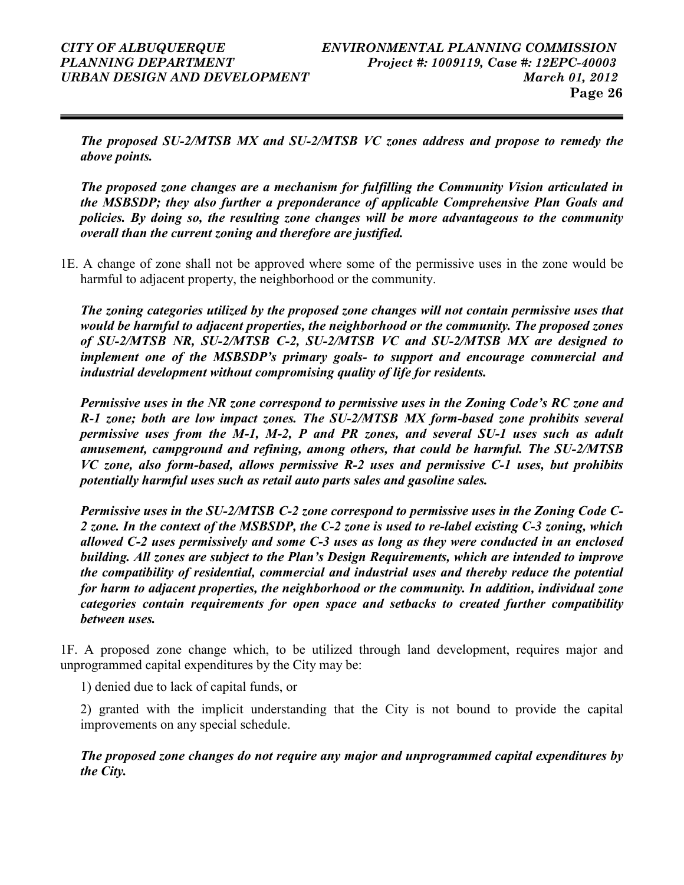The proposed SU-2/MTSB MX and SU-2/MTSB VC zones address and propose to remedy the above points.

The proposed zone changes are a mechanism for fulfilling the Community Vision articulated in the MSBSDP; they also further a preponderance of applicable Comprehensive Plan Goals and policies. By doing so, the resulting zone changes will be more advantageous to the community overall than the current zoning and therefore are justified.

1E. A change of zone shall not be approved where some of the permissive uses in the zone would be harmful to adjacent property, the neighborhood or the community.

The zoning categories utilized by the proposed zone changes will not contain permissive uses that would be harmful to adjacent properties, the neighborhood or the community. The proposed zones of SU-2/MTSB NR, SU-2/MTSB C-2, SU-2/MTSB VC and SU-2/MTSB MX are designed to implement one of the MSBSDP's primary goals- to support and encourage commercial and industrial development without compromising quality of life for residents.

 Permissive uses in the NR zone correspond to permissive uses in the Zoning Code's RC zone and R-1 zone; both are low impact zones. The SU-2/MTSB MX form-based zone prohibits several permissive uses from the M-1, M-2, P and PR zones, and several SU-1 uses such as adult amusement, campground and refining, among others, that could be harmful. The SU-2/MTSB VC zone, also form-based, allows permissive R-2 uses and permissive C-1 uses, but prohibits potentially harmful uses such as retail auto parts sales and gasoline sales.

Permissive uses in the SU-2/MTSB C-2 zone correspond to permissive uses in the Zoning Code C-2 zone. In the context of the MSBSDP, the C-2 zone is used to re-label existing C-3 zoning, which allowed C-2 uses permissively and some C-3 uses as long as they were conducted in an enclosed building. All zones are subject to the Plan's Design Requirements, which are intended to improve the compatibility of residential, commercial and industrial uses and thereby reduce the potential for harm to adjacent properties, the neighborhood or the community. In addition, individual zone categories contain requirements for open space and setbacks to created further compatibility between uses.

1F. A proposed zone change which, to be utilized through land development, requires major and unprogrammed capital expenditures by the City may be:

1) denied due to lack of capital funds, or

2) granted with the implicit understanding that the City is not bound to provide the capital improvements on any special schedule.

The proposed zone changes do not require any major and unprogrammed capital expenditures by the City.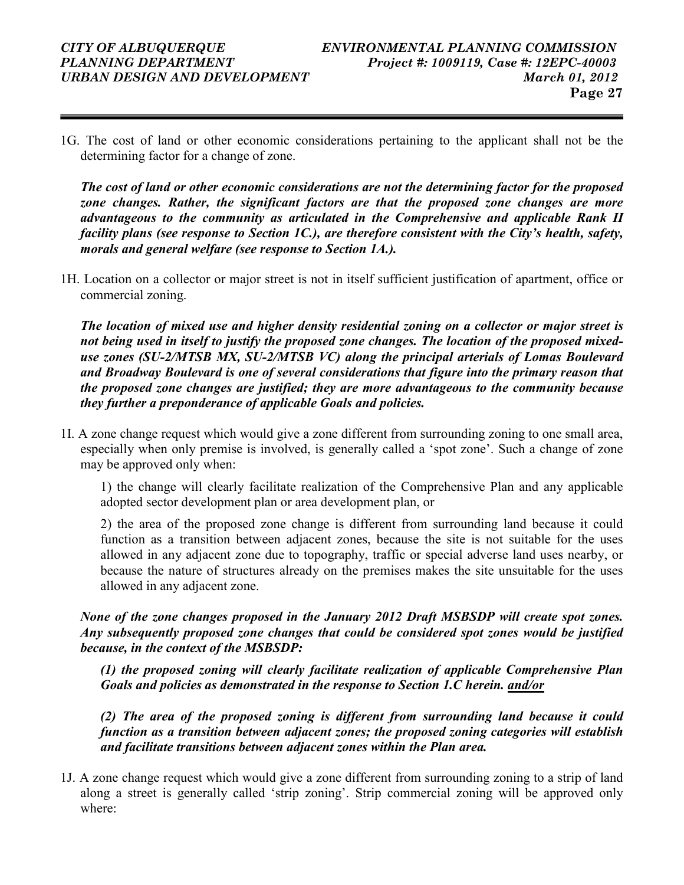1G. The cost of land or other economic considerations pertaining to the applicant shall not be the determining factor for a change of zone.

The cost of land or other economic considerations are not the determining factor for the proposed zone changes. Rather, the significant factors are that the proposed zone changes are more advantageous to the community as articulated in the Comprehensive and applicable Rank II facility plans (see response to Section 1C.), are therefore consistent with the City's health, safety, morals and general welfare (see response to Section 1A.).

1H. Location on a collector or major street is not in itself sufficient justification of apartment, office or commercial zoning.

The location of mixed use and higher density residential zoning on a collector or major street is not being used in itself to justify the proposed zone changes. The location of the proposed mixeduse zones (SU-2/MTSB MX, SU-2/MTSB VC) along the principal arterials of Lomas Boulevard and Broadway Boulevard is one of several considerations that figure into the primary reason that the proposed zone changes are justified; they are more advantageous to the community because they further a preponderance of applicable Goals and policies.

1I. A zone change request which would give a zone different from surrounding zoning to one small area, especially when only premise is involved, is generally called a 'spot zone'. Such a change of zone may be approved only when:

1) the change will clearly facilitate realization of the Comprehensive Plan and any applicable adopted sector development plan or area development plan, or

2) the area of the proposed zone change is different from surrounding land because it could function as a transition between adjacent zones, because the site is not suitable for the uses allowed in any adjacent zone due to topography, traffic or special adverse land uses nearby, or because the nature of structures already on the premises makes the site unsuitable for the uses allowed in any adjacent zone.

#### None of the zone changes proposed in the January 2012 Draft MSBSDP will create spot zones. Any subsequently proposed zone changes that could be considered spot zones would be justified because, in the context of the MSBSDP:

(1) the proposed zoning will clearly facilitate realization of applicable Comprehensive Plan Goals and policies as demonstrated in the response to Section 1.C herein. and/or

(2) The area of the proposed zoning is different from surrounding land because it could function as a transition between adjacent zones; the proposed zoning categories will establish and facilitate transitions between adjacent zones within the Plan area.

1J. A zone change request which would give a zone different from surrounding zoning to a strip of land along a street is generally called 'strip zoning'. Strip commercial zoning will be approved only where: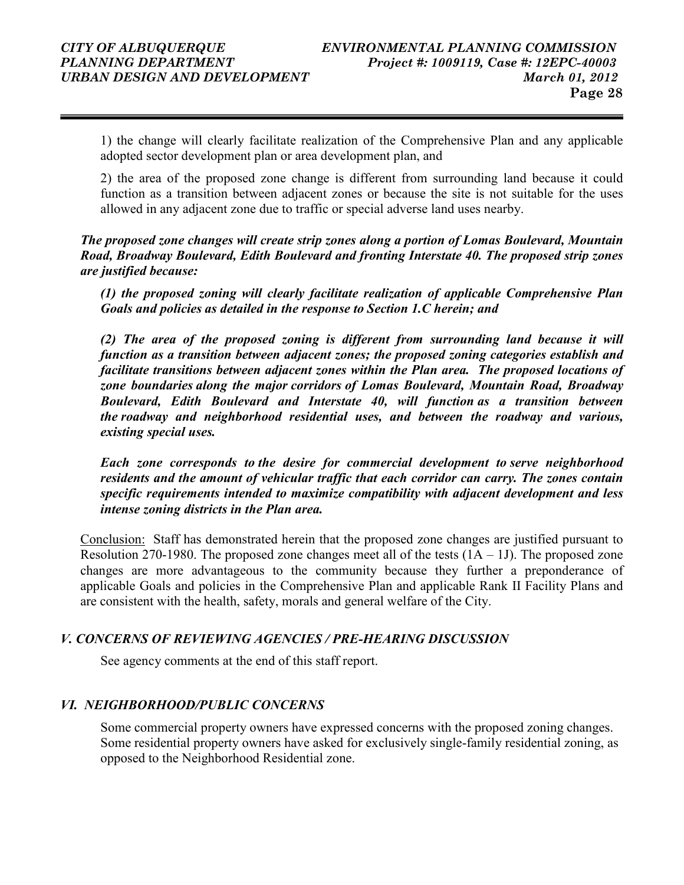1) the change will clearly facilitate realization of the Comprehensive Plan and any applicable adopted sector development plan or area development plan, and

2) the area of the proposed zone change is different from surrounding land because it could function as a transition between adjacent zones or because the site is not suitable for the uses allowed in any adjacent zone due to traffic or special adverse land uses nearby.

#### The proposed zone changes will create strip zones along a portion of Lomas Boulevard, Mountain Road, Broadway Boulevard, Edith Boulevard and fronting Interstate 40. The proposed strip zones are justified because:

(1) the proposed zoning will clearly facilitate realization of applicable Comprehensive Plan Goals and policies as detailed in the response to Section 1.C herein; and

(2) The area of the proposed zoning is different from surrounding land because it will function as a transition between adjacent zones; the proposed zoning categories establish and facilitate transitions between adjacent zones within the Plan area. The proposed locations of zone boundaries along the major corridors of Lomas Boulevard, Mountain Road, Broadway Boulevard, Edith Boulevard and Interstate 40, will function as a transition between the roadway and neighborhood residential uses, and between the roadway and various, existing special uses.

Each zone corresponds to the desire for commercial development to serve neighborhood residents and the amount of vehicular traffic that each corridor can carry. The zones contain specific requirements intended to maximize compatibility with adjacent development and less intense zoning districts in the Plan area.

Conclusion: Staff has demonstrated herein that the proposed zone changes are justified pursuant to Resolution 270-1980. The proposed zone changes meet all of the tests  $(1A - 1J)$ . The proposed zone changes are more advantageous to the community because they further a preponderance of applicable Goals and policies in the Comprehensive Plan and applicable Rank II Facility Plans and are consistent with the health, safety, morals and general welfare of the City.

### V. CONCERNS OF REVIEWING AGENCIES / PRE-HEARING DISCUSSION

See agency comments at the end of this staff report.

### VI. NEIGHBORHOOD/PUBLIC CONCERNS

Some commercial property owners have expressed concerns with the proposed zoning changes. Some residential property owners have asked for exclusively single-family residential zoning, as opposed to the Neighborhood Residential zone.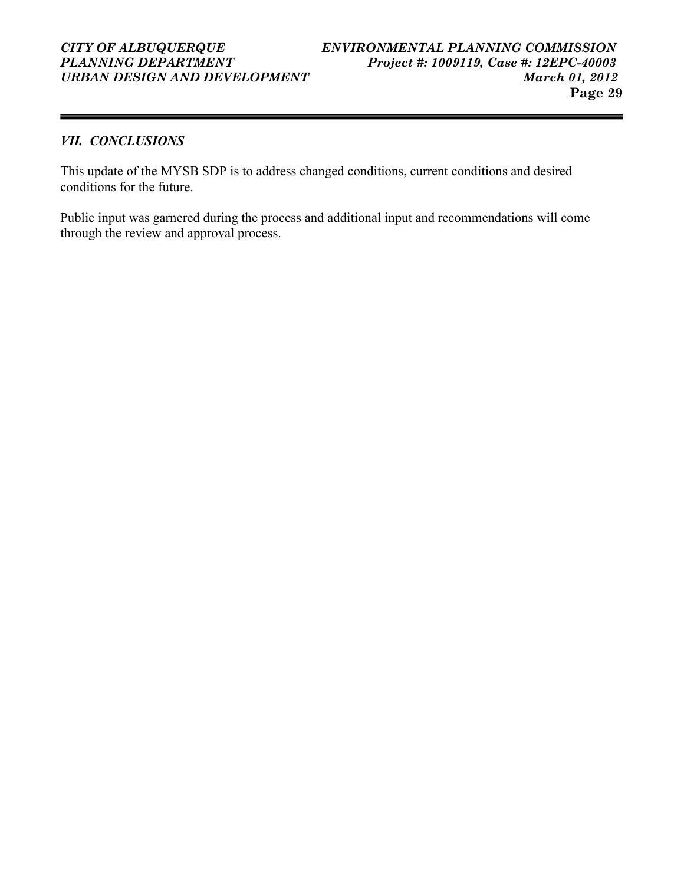# URBAN DESIGN AND DEVELOPMENT

### VII. CONCLUSIONS

This update of the MYSB SDP is to address changed conditions, current conditions and desired conditions for the future.

Public input was garnered during the process and additional input and recommendations will come through the review and approval process.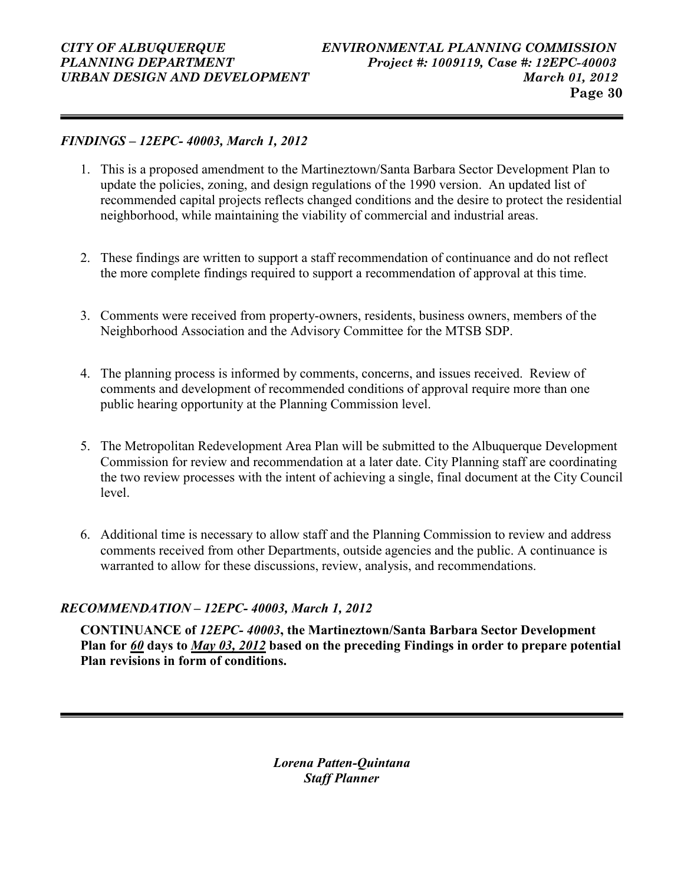#### FINDINGS – 12EPC- 40003, March 1, 2012

- 1. This is a proposed amendment to the Martineztown/Santa Barbara Sector Development Plan to update the policies, zoning, and design regulations of the 1990 version. An updated list of recommended capital projects reflects changed conditions and the desire to protect the residential neighborhood, while maintaining the viability of commercial and industrial areas.
- 2. These findings are written to support a staff recommendation of continuance and do not reflect the more complete findings required to support a recommendation of approval at this time.
- 3. Comments were received from property-owners, residents, business owners, members of the Neighborhood Association and the Advisory Committee for the MTSB SDP.
- 4. The planning process is informed by comments, concerns, and issues received. Review of comments and development of recommended conditions of approval require more than one public hearing opportunity at the Planning Commission level.
- 5. The Metropolitan Redevelopment Area Plan will be submitted to the Albuquerque Development Commission for review and recommendation at a later date. City Planning staff are coordinating the two review processes with the intent of achieving a single, final document at the City Council level.
- 6. Additional time is necessary to allow staff and the Planning Commission to review and address comments received from other Departments, outside agencies and the public. A continuance is warranted to allow for these discussions, review, analysis, and recommendations.

### RECOMMENDATION – 12EPC- 40003, March 1, 2012

CONTINUANCE of 12EPC- 40003, the Martineztown/Santa Barbara Sector Development Plan for 60 days to May 03, 2012 based on the preceding Findings in order to prepare potential Plan revisions in form of conditions.

> Lorena Patten-Quintana Staff Planner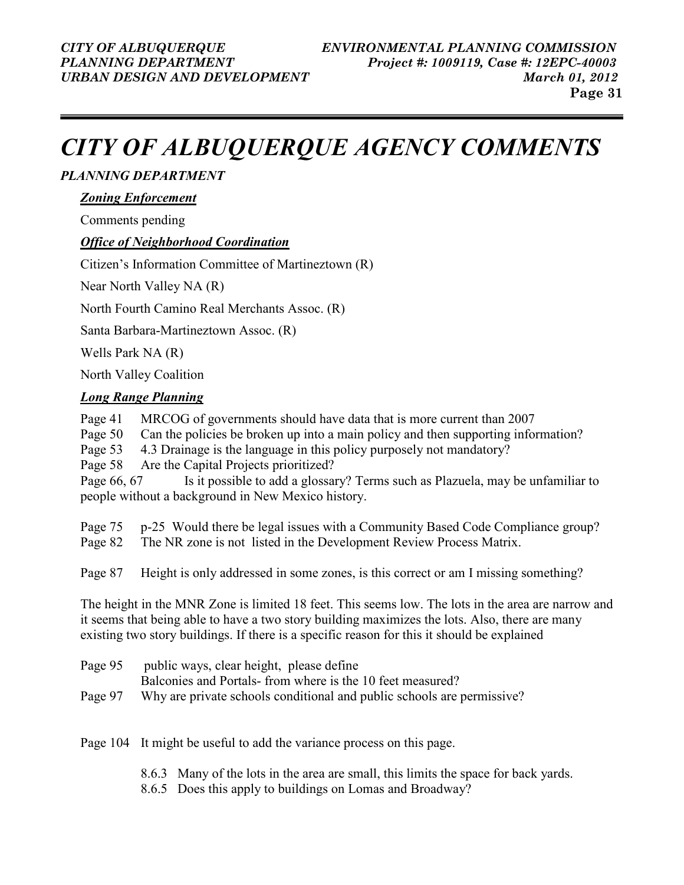# CITY OF ALBUQUERQUE AGENCY COMMENTS

### PLANNING DEPARTMENT

#### Zoning Enforcement

Comments pending

### Office of Neighborhood Coordination

Citizen's Information Committee of Martineztown (R)

Near North Valley NA (R)

North Fourth Camino Real Merchants Assoc. (R)

Santa Barbara-Martineztown Assoc. (R)

Wells Park NA (R)

North Valley Coalition

### **Long Range Planning**

- Page 41 MRCOG of governments should have data that is more current than 2007
- Page 50 Can the policies be broken up into a main policy and then supporting information?
- Page 53 4.3 Drainage is the language in this policy purposely not mandatory?

Page 58 Are the Capital Projects prioritized?

Page 66, 67 Is it possible to add a glossary? Terms such as Plazuela, may be unfamiliar to people without a background in New Mexico history.

Page 75 p-25 Would there be legal issues with a Community Based Code Compliance group? Page 82 The NR zone is not listed in the Development Review Process Matrix.

Page 87 Height is only addressed in some zones, is this correct or am I missing something?

The height in the MNR Zone is limited 18 feet. This seems low. The lots in the area are narrow and it seems that being able to have a two story building maximizes the lots. Also, there are many existing two story buildings. If there is a specific reason for this it should be explained

| Page 95 public ways, clear height, please define                               |  |
|--------------------------------------------------------------------------------|--|
| Balconies and Portals-from where is the 10 feet measured?                      |  |
| Page 97 Why are private schools conditional and public schools are permissive? |  |

Page 104 It might be useful to add the variance process on this page.

- 8.6.3 Many of the lots in the area are small, this limits the space for back yards.
- 8.6.5 Does this apply to buildings on Lomas and Broadway?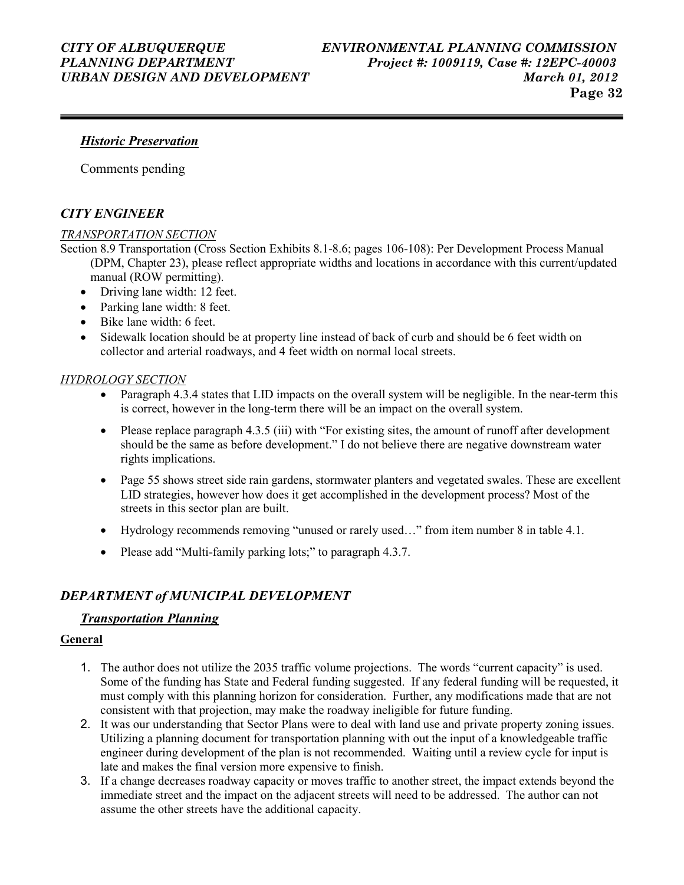#### Historic Preservation

Comments pending

### CITY ENGINEER

#### TRANSPORTATION SECTION

- Section 8.9 Transportation (Cross Section Exhibits 8.1-8.6; pages 106-108): Per Development Process Manual (DPM, Chapter 23), please reflect appropriate widths and locations in accordance with this current/updated manual (ROW permitting).
	- Driving lane width: 12 feet.
	- Parking lane width: 8 feet.
	- Bike lane width: 6 feet.
	- Sidewalk location should be at property line instead of back of curb and should be 6 feet width on collector and arterial roadways, and 4 feet width on normal local streets.

#### HYDROLOGY SECTION

- Paragraph 4.3.4 states that LID impacts on the overall system will be negligible. In the near-term this is correct, however in the long-term there will be an impact on the overall system.
- Please replace paragraph 4.3.5 (iii) with "For existing sites, the amount of runoff after development should be the same as before development." I do not believe there are negative downstream water rights implications.
- Page 55 shows street side rain gardens, stormwater planters and vegetated swales. These are excellent LID strategies, however how does it get accomplished in the development process? Most of the streets in this sector plan are built.
- Hydrology recommends removing "unused or rarely used..." from item number 8 in table 4.1.
- Please add "Multi-family parking lots;" to paragraph 4.3.7.

### DEPARTMENT of MUNICIPAL DEVELOPMENT

#### Transportation Planning

#### **General**

- 1. The author does not utilize the 2035 traffic volume projections. The words "current capacity" is used. Some of the funding has State and Federal funding suggested. If any federal funding will be requested, it must comply with this planning horizon for consideration. Further, any modifications made that are not consistent with that projection, may make the roadway ineligible for future funding.
- 2. It was our understanding that Sector Plans were to deal with land use and private property zoning issues. Utilizing a planning document for transportation planning with out the input of a knowledgeable traffic engineer during development of the plan is not recommended. Waiting until a review cycle for input is late and makes the final version more expensive to finish.
- 3. If a change decreases roadway capacity or moves traffic to another street, the impact extends beyond the immediate street and the impact on the adjacent streets will need to be addressed. The author can not assume the other streets have the additional capacity.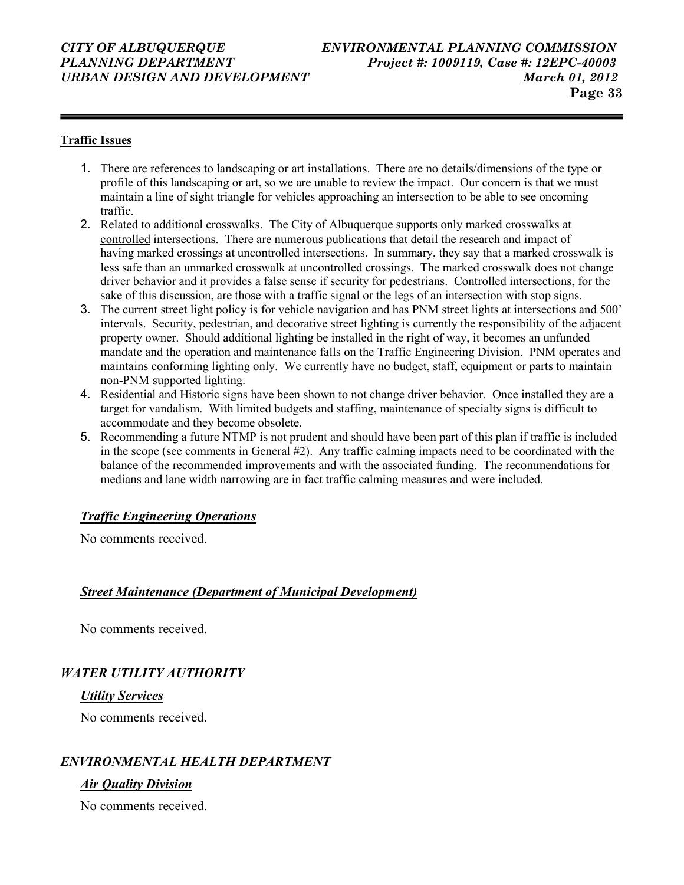#### CITY OF ALBUQUERQUE ENVIRONMENTAL PLANNING COMMISSION PLANNING DEPARTMENT Project #: 1009119, Case #: 12EPC-40003 URBAN DESIGN AND DEVELOPMENT March 01, 2012 Page 33

#### Traffic Issues

- 1. There are references to landscaping or art installations. There are no details/dimensions of the type or profile of this landscaping or art, so we are unable to review the impact. Our concern is that we must maintain a line of sight triangle for vehicles approaching an intersection to be able to see oncoming traffic.
- 2. Related to additional crosswalks. The City of Albuquerque supports only marked crosswalks at controlled intersections. There are numerous publications that detail the research and impact of having marked crossings at uncontrolled intersections. In summary, they say that a marked crosswalk is less safe than an unmarked crosswalk at uncontrolled crossings. The marked crosswalk does not change driver behavior and it provides a false sense if security for pedestrians. Controlled intersections, for the sake of this discussion, are those with a traffic signal or the legs of an intersection with stop signs.
- 3. The current street light policy is for vehicle navigation and has PNM street lights at intersections and 500' intervals. Security, pedestrian, and decorative street lighting is currently the responsibility of the adjacent property owner. Should additional lighting be installed in the right of way, it becomes an unfunded mandate and the operation and maintenance falls on the Traffic Engineering Division. PNM operates and maintains conforming lighting only. We currently have no budget, staff, equipment or parts to maintain non-PNM supported lighting.
- 4. Residential and Historic signs have been shown to not change driver behavior. Once installed they are a target for vandalism. With limited budgets and staffing, maintenance of specialty signs is difficult to accommodate and they become obsolete.
- 5. Recommending a future NTMP is not prudent and should have been part of this plan if traffic is included in the scope (see comments in General #2). Any traffic calming impacts need to be coordinated with the balance of the recommended improvements and with the associated funding. The recommendations for medians and lane width narrowing are in fact traffic calming measures and were included.

#### Traffic Engineering Operations

No comments received.

#### Street Maintenance (Department of Municipal Development)

No comments received.

### WATER UTILITY AUTHORITY

#### Utility Services

No comments received.

### ENVIRONMENTAL HEALTH DEPARTMENT

#### Air Quality Division

No comments received.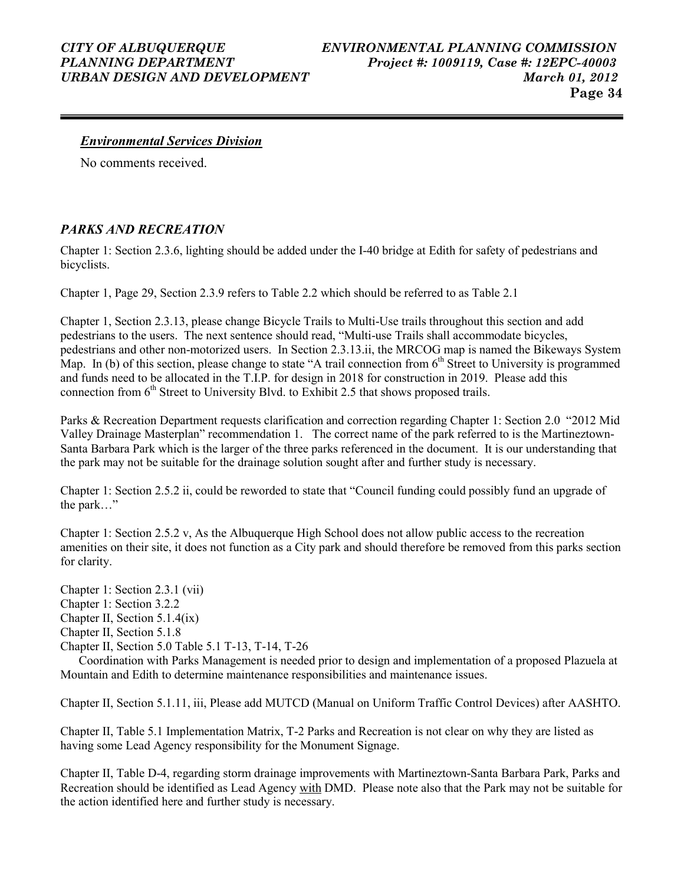#### Environmental Services Division

No comments received.

### PARKS AND RECREATION

Chapter 1: Section 2.3.6, lighting should be added under the I-40 bridge at Edith for safety of pedestrians and bicyclists.

Chapter 1, Page 29, Section 2.3.9 refers to Table 2.2 which should be referred to as Table 2.1

Chapter 1, Section 2.3.13, please change Bicycle Trails to Multi-Use trails throughout this section and add pedestrians to the users. The next sentence should read, "Multi-use Trails shall accommodate bicycles, pedestrians and other non-motorized users. In Section 2.3.13.ii, the MRCOG map is named the Bikeways System Map. In (b) of this section, please change to state "A trail connection from  $6<sup>th</sup>$  Street to University is programmed and funds need to be allocated in the T.I.P. for design in 2018 for construction in 2019. Please add this connection from  $6<sup>th</sup>$  Street to University Blvd. to Exhibit 2.5 that shows proposed trails.

Parks & Recreation Department requests clarification and correction regarding Chapter 1: Section 2.0 "2012 Mid Valley Drainage Masterplan" recommendation 1. The correct name of the park referred to is the Martineztown-Santa Barbara Park which is the larger of the three parks referenced in the document. It is our understanding that the park may not be suitable for the drainage solution sought after and further study is necessary.

Chapter 1: Section 2.5.2 ii, could be reworded to state that "Council funding could possibly fund an upgrade of the park…"

Chapter 1: Section 2.5.2 v, As the Albuquerque High School does not allow public access to the recreation amenities on their site, it does not function as a City park and should therefore be removed from this parks section for clarity.

Chapter 1: Section 2.3.1 (vii) Chapter 1: Section 3.2.2 Chapter II, Section 5.1.4(ix) Chapter II, Section 5.1.8 Chapter II, Section 5.0 Table 5.1 T-13, T-14, T-26

 Coordination with Parks Management is needed prior to design and implementation of a proposed Plazuela at Mountain and Edith to determine maintenance responsibilities and maintenance issues.

Chapter II, Section 5.1.11, iii, Please add MUTCD (Manual on Uniform Traffic Control Devices) after AASHTO.

Chapter II, Table 5.1 Implementation Matrix, T-2 Parks and Recreation is not clear on why they are listed as having some Lead Agency responsibility for the Monument Signage.

Chapter II, Table D-4, regarding storm drainage improvements with Martineztown-Santa Barbara Park, Parks and Recreation should be identified as Lead Agency with DMD. Please note also that the Park may not be suitable for the action identified here and further study is necessary.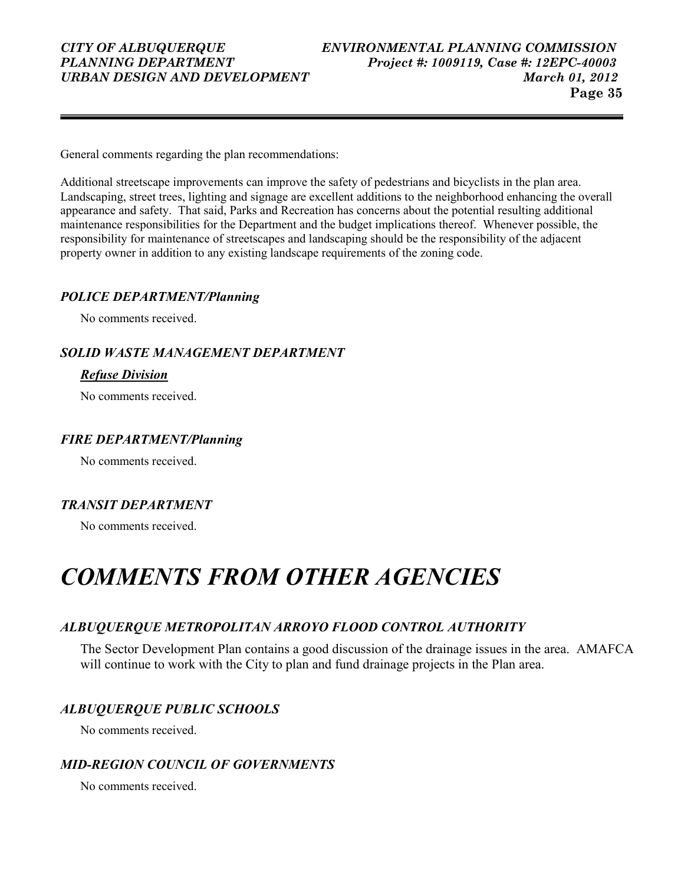General comments regarding the plan recommendations:

Additional streetscape improvements can improve the safety of pedestrians and bicyclists in the plan area. Landscaping, street trees, lighting and signage are excellent additions to the neighborhood enhancing the overall appearance and safety. That said, Parks and Recreation has concerns about the potential resulting additional maintenance responsibilities for the Department and the budget implications thereof. Whenever possible, the responsibility for maintenance of streetscapes and landscaping should be the responsibility of the adjacent property owner in addition to any existing landscape requirements of the zoning code.

#### POLICE DEPARTMENT/Planning

No comments received.

#### SOLID WASTE MANAGEMENT DEPARTMENT

#### Refuse Division

No comments received.

#### FIRE DEPARTMENT/Planning

No comments received.

### TRANSIT DEPARTMENT

No comments received.

## COMMENTS FROM OTHER AGENCIES

### ALBUQUERQUE METROPOLITAN ARROYO FLOOD CONTROL AUTHORITY

The Sector Development Plan contains a good discussion of the drainage issues in the area. AMAFCA will continue to work with the City to plan and fund drainage projects in the Plan area.

### ALBUQUERQUE PUBLIC SCHOOLS

No comments received.

### MID-REGION COUNCIL OF GOVERNMENTS

No comments received.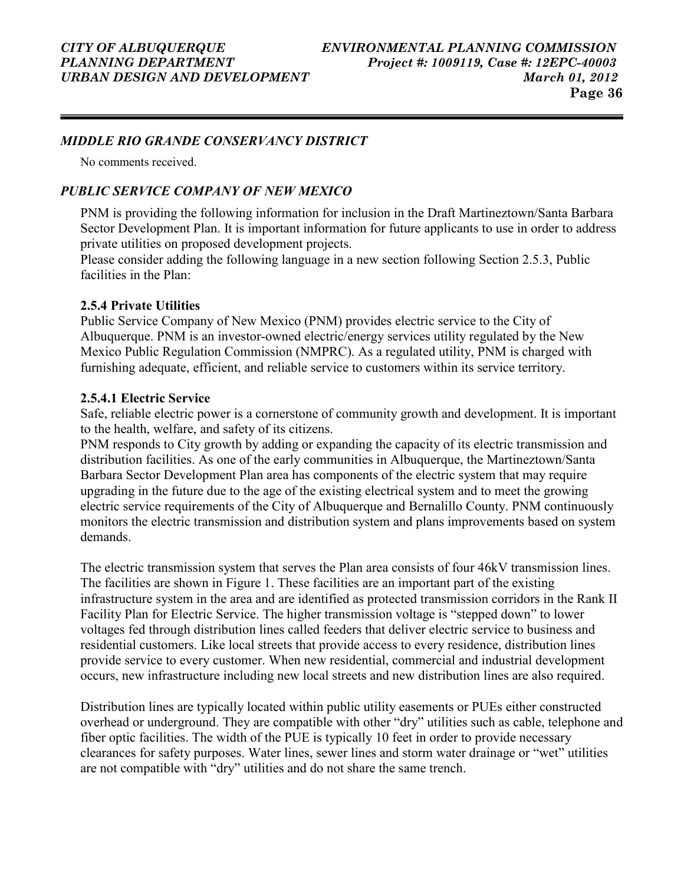#### MIDDLE RIO GRANDE CONSERVANCY DISTRICT

No comments received.

#### PUBLIC SERVICE COMPANY OF NEW MEXICO

PNM is providing the following information for inclusion in the Draft Martineztown/Santa Barbara Sector Development Plan. It is important information for future applicants to use in order to address private utilities on proposed development projects.

Please consider adding the following language in a new section following Section 2.5.3, Public facilities in the Plan:

#### 2.5.4 Private Utilities

Public Service Company of New Mexico (PNM) provides electric service to the City of Albuquerque. PNM is an investor-owned electric/energy services utility regulated by the New Mexico Public Regulation Commission (NMPRC). As a regulated utility, PNM is charged with furnishing adequate, efficient, and reliable service to customers within its service territory.

#### 2.5.4.1 Electric Service

Safe, reliable electric power is a cornerstone of community growth and development. It is important to the health, welfare, and safety of its citizens.

PNM responds to City growth by adding or expanding the capacity of its electric transmission and distribution facilities. As one of the early communities in Albuquerque, the Martineztown/Santa Barbara Sector Development Plan area has components of the electric system that may require upgrading in the future due to the age of the existing electrical system and to meet the growing electric service requirements of the City of Albuquerque and Bernalillo County. PNM continuously monitors the electric transmission and distribution system and plans improvements based on system demands.

The electric transmission system that serves the Plan area consists of four 46kV transmission lines. The facilities are shown in Figure 1. These facilities are an important part of the existing infrastructure system in the area and are identified as protected transmission corridors in the Rank II Facility Plan for Electric Service. The higher transmission voltage is "stepped down" to lower voltages fed through distribution lines called feeders that deliver electric service to business and residential customers. Like local streets that provide access to every residence, distribution lines provide service to every customer. When new residential, commercial and industrial development occurs, new infrastructure including new local streets and new distribution lines are also required.

Distribution lines are typically located within public utility easements or PUEs either constructed overhead or underground. They are compatible with other "dry" utilities such as cable, telephone and fiber optic facilities. The width of the PUE is typically 10 feet in order to provide necessary clearances for safety purposes. Water lines, sewer lines and storm water drainage or "wet" utilities are not compatible with "dry" utilities and do not share the same trench.